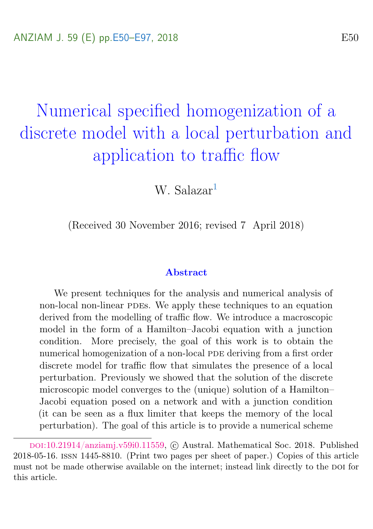# <span id="page-0-0"></span>Numerical specified homogenization of a discrete model with a local perturbation and application to traffic flow

W. Salazar[1](#page-47-0)

(Received 30 November 2016; revised 7 April 2018)

#### Abstract

We present techniques for the analysis and numerical analysis of non-local non-linear PDEs. We apply these techniques to an equation derived from the modelling of traffic flow. We introduce a macroscopic model in the form of a Hamilton–Jacobi equation with a junction condition. More precisely, the goal of this work is to obtain the numerical homogenization of a non-local PDE deriving from a first order discrete model for traffic flow that simulates the presence of a local perturbation. Previously we showed that the solution of the discrete microscopic model converges to the (unique) solution of a Hamilton– Jacobi equation posed on a network and with a junction condition (it can be seen as a flux limiter that keeps the memory of the local perturbation). The goal of this article is to provide a numerical scheme

DOI:[10.21914/anziamj.v59i0.11559,](https://doi.org/10.21914/anziamj.v59i0.11559) © Austral. Mathematical Soc. 2018. Published 2018-05-16. issn 1445-8810. (Print two pages per sheet of paper.) Copies of this article must not be made otherwise available on the internet; instead link directly to the DOI for this article.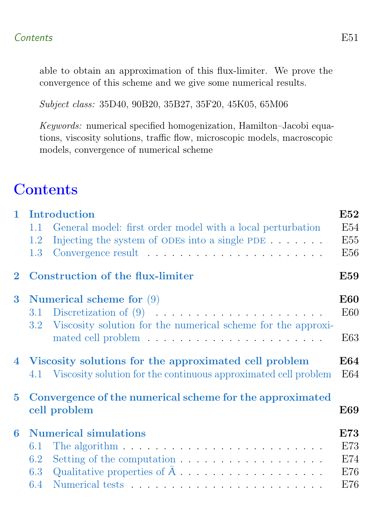able to obtain an approximation of this flux-limiter. We prove the convergence of this scheme and we give some numerical results.

Subject class: 35D40, 90B20, 35B27, 35F20, 45K05, 65M06

Keywords: numerical specified homogenization, Hamilton–Jacobi equations, viscosity solutions, traffic flow, microscopic models, macroscopic models, convergence of numerical scheme

## **Contents**

| $\mathbf{1}$ | Introduction                                                                   | E52        |
|--------------|--------------------------------------------------------------------------------|------------|
|              | General model: first order model with a local perturbation<br>1.1              | E54        |
|              | Injecting the system of ODEs into a single PDE $\dots$ .<br>1.2                | E55        |
|              | 1.3                                                                            | E56        |
| $\bf{2}$     | Construction of the flux-limiter                                               | <b>E59</b> |
| $\bf{3}$     | Numerical scheme for $(9)$                                                     | <b>E60</b> |
|              |                                                                                | E60        |
|              | Viscosity solution for the numerical scheme for the approxi-<br>$3.2\,$        |            |
|              |                                                                                | E63        |
|              | 4 Viscosity solutions for the approximated cell problem                        | <b>E64</b> |
|              | 4.1 Viscosity solution for the continuous approximated cell problem            | E64        |
|              |                                                                                |            |
| $\bf{5}$     | Convergence of the numerical scheme for the approximated                       |            |
|              | cell problem                                                                   | <b>E69</b> |
| 6            | <b>Numerical simulations</b>                                                   | E73        |
|              | The algorithm $\ldots \ldots \ldots \ldots \ldots \ldots \ldots \ldots$<br>6.1 | E73        |
|              | 6.2                                                                            | E74        |
|              | Qualitative properties of $A \dots \dots \dots \dots \dots$<br>6.3             | E76        |
|              | 6.4                                                                            | E76        |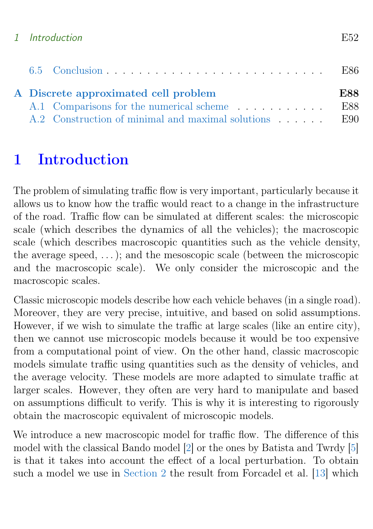#### <span id="page-2-1"></span>1 Introduction E52

|  | A Discrete approximated cell problem                  | <b>E88</b> |
|--|-------------------------------------------------------|------------|
|  | A.1 Comparisons for the numerical scheme              | – E88      |
|  | A.2 Construction of minimal and maximal solutions E90 |            |

## <span id="page-2-0"></span>1 Introduction

The problem of simulating traffic flow is very important, particularly because it allows us to know how the traffic would react to a change in the infrastructure of the road. Traffic flow can be simulated at different scales: the microscopic scale (which describes the dynamics of all the vehicles); the macroscopic scale (which describes macroscopic quantities such as the vehicle density, the average speed,  $\dots$ ); and the mesoscopic scale (between the microscopic and the macroscopic scale). We only consider the microscopic and the macroscopic scales.

Classic microscopic models describe how each vehicle behaves (in a single road). Moreover, they are very precise, intuitive, and based on solid assumptions. However, if we wish to simulate the traffic at large scales (like an entire city), then we cannot use microscopic models because it would be too expensive from a computational point of view. On the other hand, classic macroscopic models simulate traffic using quantities such as the density of vehicles, and the average velocity. These models are more adapted to simulate traffic at larger scales. However, they often are very hard to manipulate and based on assumptions difficult to verify. This is why it is interesting to rigorously obtain the macroscopic equivalent of microscopic models.

We introduce a new macroscopic model for traffic flow. The difference of this model with the classical Bando model [\[2\]](#page-44-0) or the ones by Batista and Twrdy [\[5\]](#page-44-1) is that it takes into account the effect of a local perturbation. To obtain such a model we use in [Section 2](#page-9-0) the result from Forcadel et al. [\[13\]](#page-45-0) which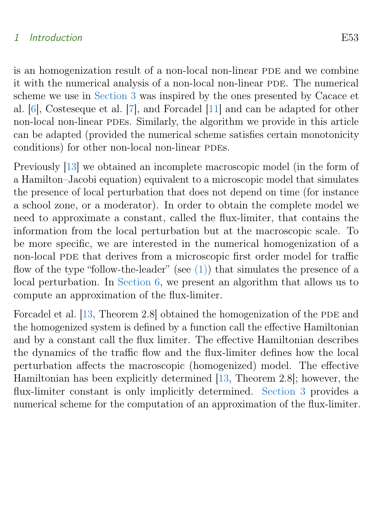#### <span id="page-3-1"></span>1 Introduction E53

is an homogenization result of a non-local non-linear PDE and we combine it with the numerical analysis of a non-local non-linear PDE. The numerical scheme we use in [Section 3](#page-10-0) was inspired by the ones presented by Cacace et al. [\[6\]](#page-45-1), Costeseque et al. [\[7\]](#page-45-2), and Forcadel [\[11\]](#page-45-3) and can be adapted for other non-local non-linear PDEs. Similarly, the algorithm we provide in this article can be adapted (provided the numerical scheme satisfies certain monotonicity conditions) for other non-local non-linear PDEs.

Previously [\[13\]](#page-45-0) we obtained an incomplete macroscopic model (in the form of a Hamilton–Jacobi equation) equivalent to a microscopic model that simulates the presence of local perturbation that does not depend on time (for instance a school zone, or a moderator). In order to obtain the complete model we need to approximate a constant, called the flux-limiter, that contains the information from the local perturbation but at the macroscopic scale. To be more specific, we are interested in the numerical homogenization of a non-local PDE that derives from a microscopic first order model for traffic flow of the type "follow-the-leader" (see  $(1)$ ) that simulates the presence of a local perturbation. In [Section 6,](#page-23-0) we present an algorithm that allows us to compute an approximation of the flux-limiter.

<span id="page-3-0"></span>Forcadel et al. [\[13,](#page-45-0) Theorem 2.8] obtained the homogenization of the PDE and the homogenized system is defined by a function call the effective Hamiltonian and by a constant call the flux limiter. The effective Hamiltonian describes the dynamics of the traffic flow and the flux-limiter defines how the local perturbation affects the macroscopic (homogenized) model. The effective Hamiltonian has been explicitly determined [\[13,](#page-45-0) Theorem 2.8]; however, the flux-limiter constant is only implicitly determined. [Section 3](#page-10-0) provides a numerical scheme for the computation of an approximation of the flux-limiter.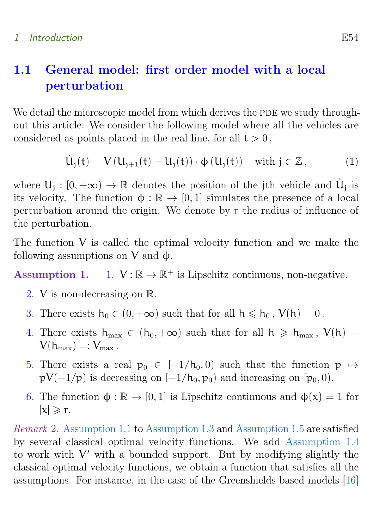## <span id="page-4-5"></span>1.1 General model: first order model with a local perturbation

We detail the microscopic model from which derives the PDE we study throughout this article. We consider the following model where all the vehicles are considered as points placed in the real line, for all  $t > 0$ ,

<span id="page-4-0"></span>
$$
\dot{U}_j(t) = V(U_{j+1}(t) - U_j(t)) \cdot \phi(U_j(t)) \quad \text{with } j \in \mathbb{Z}, \tag{1}
$$

where  $U_j : [0, +\infty) \to \mathbb{R}$  denotes the position of the jth vehicle and  $U_j$  is<br>its substitute. The function  $\uparrow \downarrow \mathbb{R}$  is  $[0, 1]$  simulates the presence of a lazal its velocity. The function  $\phi : \mathbb{R} \to [0, 1]$  simulates the presence of a local perturbation around the origin. We denote by r the radius of influence of the perturbation.

The function V is called the optimal velocity function and we make the following assumptions on  $V$  and  $\phi$ .

<span id="page-4-1"></span>Assumption 1.  $1. \quad V : \mathbb{R} \to \mathbb{R}^+$  is Lipschitz continuous, non-negative.

- 2. V is non-decreasing on R.
- <span id="page-4-2"></span>3. There exists  $h_0 \in (0, +\infty)$  such that for all  $h \leq h_0$ ,  $V(h) = 0$ .
- <span id="page-4-4"></span>4. There exists  $h_{\text{max}} \in (h_0, +\infty)$  such that for all  $h \ge h_{\text{max}}$ ,  $V(h) =$  $V(h_{\text{max}}) =: V_{\text{max}}$ .
- <span id="page-4-3"></span>5. There exists a real  $p_0 \in [-1/h_0, 0]$  such that the function  $p \mapsto$  $pV(-1/p)$  is decreasing on  $[-1/h_0, p_0]$  and increasing on  $[p_0, 0]$ .
- 6. The function  $\phi : \mathbb{R} \to [0, 1]$  is Lipschitz continuous and  $\phi(x) = 1$  for  $|x| \geqslant r$ .

Remark 2. [Assumption 1.1](#page-4-1) to [Assumption 1.3](#page-4-2) and [Assumption 1.5](#page-4-3) are satisfied by several classical optimal velocity functions. We add [Assumption 1.4](#page-4-4) to work with  $V'$  with a bounded support. But by modifying slightly the classical optimal velocity functions, we obtain a function that satisfies all the assumptions. For instance, in the case of the Greenshields based models [\[16\]](#page-46-0)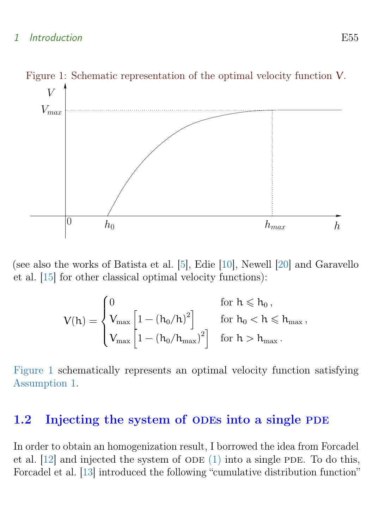#### <span id="page-5-3"></span>1 Introduction E55

<span id="page-5-1"></span>

(see also the works of Batista et al. [\[5\]](#page-44-1), Edie [\[10\]](#page-45-4), Newell [\[20\]](#page-46-1) and Garavello et al. [\[15\]](#page-46-2) for other classical optimal velocity functions):

<span id="page-5-2"></span>
$$
V(h)=\begin{cases} 0 & \text{for } h \leqslant h_0\,,\\ V_{\max}\begin{bmatrix} 1-\left( h_0/h \right)^2 \end{bmatrix} & \text{for } h_0 < h \leqslant h_{\max}\,,\\ V_{\max}\begin{bmatrix} 1-\left( h_0/h_{\max} \right)^2 \end{bmatrix} & \text{for } h > h_{\max}\,. \end{cases}
$$

[Figure 1](#page-5-1) schematically represents an optimal velocity function satisfying [Assumption 1.](#page-4-1)

### <span id="page-5-0"></span>1.2 Injecting the system of ODEs into a single PDE

In order to obtain an homogenization result, I borrowed the idea from Forcadel et al.  $[12]$  and injected the system of ODE  $(1)$  into a single PDE. To do this, Forcadel et al. [\[13\]](#page-45-0) introduced the following "cumulative distribution function"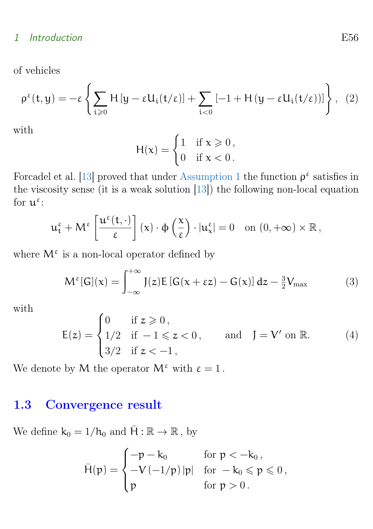#### <span id="page-6-3"></span>1 Introduction E56

of vehicles

$$
\rho^{\varepsilon}(t,y) = -\varepsilon \left\{ \sum_{i \geqslant 0} H\left[y - \varepsilon U_{i}(t/\varepsilon)\right] + \sum_{i < 0} \left[-1 + H\left(y - \varepsilon U_{i}(t/\varepsilon)\right)\right] \right\}, \tag{2}
$$

with

$$
H(x) = \begin{cases} 1 & \text{if } x \geqslant 0, \\ 0 & \text{if } x < 0. \end{cases}
$$

Forcadel et al. [\[13\]](#page-45-0) proved that under [Assumption 1](#page-4-1) the function  $\rho^{\varepsilon}$  satisfies in the viscosity sense (it is a weak solution [\[13\]](#page-45-0)) the following non-local equation for  $\mathfrak{u}^{\varepsilon}$ :

$$
\mathfrak{u}_t^{\varepsilon} + \mathsf{M}^{\varepsilon} \left[ \frac{\mathfrak{u}^{\varepsilon}(t, \cdot)}{\varepsilon} \right] (x) \cdot \varphi \left( \frac{x}{\varepsilon} \right) \cdot |\mathfrak{u}_x^{\varepsilon}| = 0 \quad \text{on } (0, +\infty) \times \mathbb{R},
$$

where  $M^{\varepsilon}$  is a non-local operator defined by

<span id="page-6-1"></span>
$$
M^{\varepsilon}[G](x) = \int_{-\infty}^{+\infty} J(z)E\left[G(x + \varepsilon z) - G(x)\right]dz - \frac{3}{2}V_{\max}
$$
(3)

with

<span id="page-6-2"></span>
$$
E(z) = \begin{cases} 0 & \text{if } z \ge 0, \\ 1/2 & \text{if } -1 \le z < 0, \\ 3/2 & \text{if } z < -1, \end{cases} \quad \text{and} \quad J = V' \text{ on } \mathbb{R}.
$$
 (4)

We denote by M the operator  $M^{\epsilon}$  with  $\epsilon = 1$ .

### <span id="page-6-0"></span>1.3 Convergence result

We define  $k_0 = 1/h_0$  and  $\bar{H} : \mathbb{R} \to \mathbb{R}$ , by

$$
\bar{H}(p)=\begin{cases}-p-k_0&\text{for }p<-k_0\,,\\-V\left(-1/p\right)|p|&\text{for }-k_0\leqslant p\leqslant 0\,,\\p&\text{for }p>0\,.\end{cases}
$$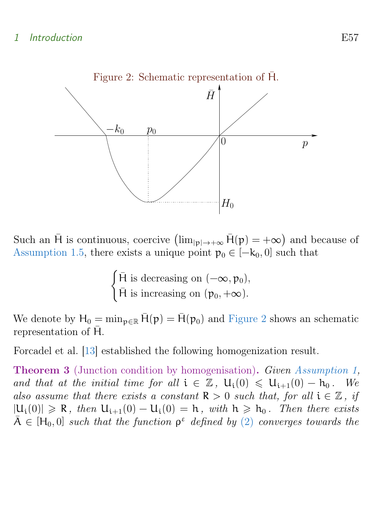<span id="page-7-2"></span><span id="page-7-0"></span>

Such an  $\bar{H}$  is continuous, coercive  $(\lim_{|p| \to +\infty} \bar{H}(p) = +\infty)$  and because of [Assumption 1.5,](#page-4-3) there exists a unique point  $p_0 \in [-k_0, 0]$  such that

$$
\begin{cases} \bar{H} \text{ is decreasing on } (-\infty, p_0), \\ \bar{H} \text{ is increasing on } (p_0, +\infty). \end{cases}
$$

We denote by  $H_0 = \min_{p \in \mathbb{R}} \bar{H}(p) = \bar{H}(p_0)$  and [Figure 2](#page-7-0) shows an schematic representation of  $\bar{H}$ .

Forcadel et al. [\[13\]](#page-45-0) established the following homogenization result.

<span id="page-7-1"></span>**Theorem 3** (Junction condition by homogenisation). Given [Assumption 1,](#page-4-1) and that at the initial time for all  $i \in \mathbb{Z}$ ,  $U_i(0) \le U_{i+1}(0) - h_0$ . We also assume that there exists a constant  $\mathbb{R} > 0$  such that, for all  $i \in \mathbb{Z}$ , if  $|U_i(0)| \ge R$ , then  $U_{i+1}(0) - U_i(0) = h$ , with  $h \ge h_0$ . Then there exists  $\bar{A} \in [H_0, 0]$  such that the function  $\rho^{\varepsilon}$  defined by [\(2\)](#page-5-2) converges towards the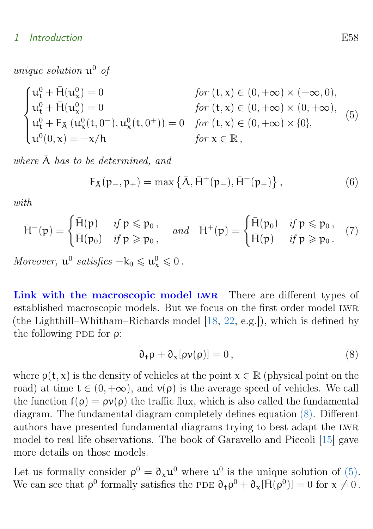#### <span id="page-8-4"></span>1 Introduction E58

unique solution  $\mathfrak{u}^0$  of

<span id="page-8-1"></span>
$$
\begin{cases}\n\mathbf{u}_{t}^{0} + \bar{H}(\mathbf{u}_{x}^{0}) = 0 & \text{for } (t, x) \in (0, +\infty) \times (-\infty, 0), \\
\mathbf{u}_{t}^{0} + \bar{H}(\mathbf{u}_{x}^{0}) = 0 & \text{for } (t, x) \in (0, +\infty) \times (0, +\infty), \\
\mathbf{u}_{t}^{0} + F_{\bar{A}}(\mathbf{u}_{x}^{0}(t, 0^{-}), \mathbf{u}_{x}^{0}(t, 0^{+})) = 0 & \text{for } (t, x) \in (0, +\infty) \times \{0\}, \\
\mathbf{u}^{0}(0, x) = -x/h & \text{for } x \in \mathbb{R},\n\end{cases}
$$
\n(5)

where  $\bar{A}$  has to be determined, and

<span id="page-8-3"></span>
$$
F_{\bar{A}}(p_-, p_+) = \max \{ \bar{A}, \bar{H}^+(p_-), \bar{H}^-(p_+) \}, \qquad (6)
$$

with

<span id="page-8-2"></span>
$$
\bar{H}^-(p) = \begin{cases} \bar{H}(p) & \text{if } p \leq p_0, \\ \bar{H}(p_0) & \text{if } p \geq p_0, \end{cases} \quad \text{and} \quad \bar{H}^+(p) = \begin{cases} \bar{H}(p_0) & \text{if } p \leq p_0, \\ \bar{H}(p) & \text{if } p \geq p_0. \end{cases} (7)
$$

Moreover,  $\mathbf{u}^0$  satisfies  $-\mathbf{k}_0 \leq \mathbf{u}^0_{\mathbf{x}} \leq 0$ .

Link with the macroscopic model LWR There are different types of established macroscopic models. But we focus on the first order model lwr (the Lighthill–Whitham–Richards model [\[18,](#page-46-3) [22,](#page-46-4) e.g.]), which is defined by the following PDE for  $\rho$ :

<span id="page-8-0"></span>
$$
\partial_t \rho + \partial_x [\rho v(\rho)] = 0, \qquad (8)
$$

where  $\rho(t, x)$  is the density of vehicles at the point  $x \in \mathbb{R}$  (physical point on the road) at time  $t \in (0, +\infty)$ , and  $v(\rho)$  is the average speed of vehicles. We call the function  $f(\rho) = \rho v(\rho)$  the traffic flux, which is also called the fundamental diagram. The fundamental diagram completely defines equation [\(8\).](#page-8-0) Different authors have presented fundamental diagrams trying to best adapt the lwr model to real life observations. The book of Garavello and Piccoli [\[15\]](#page-46-2) gave more details on those models.

Let us formally consider  $\rho^0 = \partial_x u^0$  where  $u^0$  is the unique solution of [\(5\).](#page-8-1) We can see that  $\rho^0$  formally satisfies the PDE  $\partial_t \rho^0 + \partial_x [\bar{H}(\rho^0)] = 0$  for  $x \neq 0$ .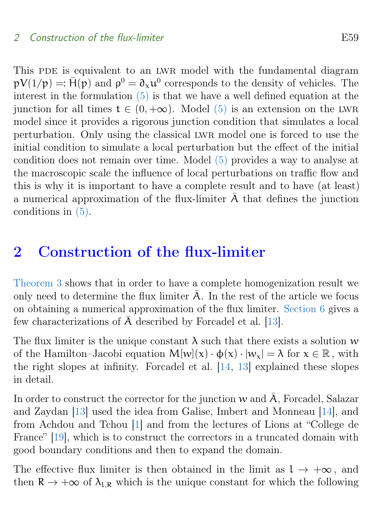<span id="page-9-1"></span>This PDE is equivalent to an LWR model with the fundamental diagram  $pV(1/p) =: \bar{H}(p)$  and  $\rho^0 = \partial_x u^0$  corresponds to the density of vehicles. The interest in the formulation [\(5\)](#page-8-1) is that we have a well defined equation at the junction for all times  $t \in (0, +\infty)$ . Model [\(5\)](#page-8-1) is an extension on the LWR model since it provides a rigorous junction condition that simulates a local perturbation. Only using the classical lwr model one is forced to use the initial condition to simulate a local perturbation but the effect of the initial condition does not remain over time. Model [\(5\)](#page-8-1) provides a way to analyse at the macroscopic scale the influence of local perturbations on traffic flow and this is why it is important to have a complete result and to have (at least) a numerical approximation of the flux-limiter  $\overline{A}$  that defines the junction conditions in [\(5\).](#page-8-1)

## <span id="page-9-0"></span>2 Construction of the flux-limiter

[Theorem 3](#page-7-1) shows that in order to have a complete homogenization result we only need to determine the flux limiter  $\overline{A}$ . In the rest of the article we focus on obtaining a numerical approximation of the flux limiter. [Section 6](#page-23-0) gives a few characterizations of  $\bar{A}$  described by Forcadel et al. [\[13\]](#page-45-0).

The flux limiter is the unique constant  $\lambda$  such that there exists a solution w of the Hamilton–Jacobi equation  $M[w](x) \cdot \phi(x) \cdot |w_x| = \lambda$  for  $x \in \mathbb{R}$ , with the right slopes at infinity. Forcadel et al. [\[14,](#page-46-5) [13\]](#page-45-0) explained these slopes in detail.

In order to construct the corrector for the junction w and  $\overline{A}$ , Forcadel, Salazar and Zaydan [\[13\]](#page-45-0) used the idea from Galise, Imbert and Monneau [\[14\]](#page-46-5), and from Achdou and Tchou [\[1\]](#page-44-2) and from the lectures of Lions at "College de France" [\[19\]](#page-46-6), which is to construct the correctors in a truncated domain with good boundary conditions and then to expand the domain.

The effective flux limiter is then obtained in the limit as  $l \to +\infty$ , and then  $R \to +\infty$  of  $\lambda_{LR}$  which is the unique constant for which the following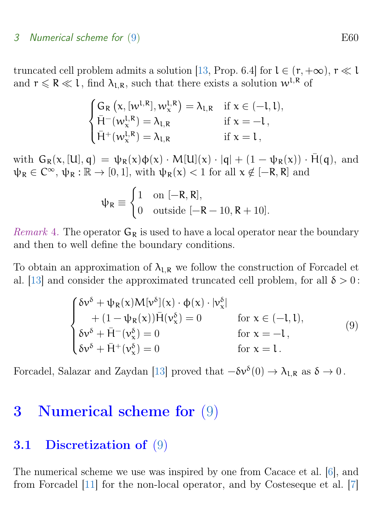#### <span id="page-10-3"></span>3 Numerical scheme for [\(9\)](#page-10-1) Services and the set of the set of the set of the set of the set of the set of the set of the set of the set of the set of the set of the set of the set of the set of the set of the set of the se

truncated cell problem admits a solution [\[13,](#page-45-0) Prop. 6.4] for  $l \in (r, +\infty)$ ,  $r \ll l$ and  $r \le R \ll l$ , find  $\lambda_{LR}$ , such that there exists a solution  $w^{l,R}$  of

$$
\begin{cases} G_R\left(x,[w^{l,R}],w^{l,R}_x\right)=\lambda_{l,R} & \text{if } x\in(-l,l),\\ \bar{H}^-(w^{l,R}_x)=\lambda_{l,R} & \text{if } x=-l\,,\\ \bar{H}^+(w^{l,R}_x)=\lambda_{l,R} & \text{if } x=l\,, \end{cases}
$$

with  $G_R(x, [U], q) = \psi_R(x)\phi(x) \cdot M[U](x) \cdot |q| + (1 - \psi_R(x)) \cdot \bar{H}(q)$ , and  $\psi_R \in C^{\infty}$ ,  $\psi_R : \mathbb{R} \to [0, 1]$ , with  $\psi_R(x) < 1$  for all  $x \notin [-R, R]$  and

$$
\psi_R \equiv \begin{cases} 1 & \text{on } [-R,R], \\ 0 & \text{outside } [-R-10,R+10]. \end{cases}
$$

*Remark* 4. The operator  $G_R$  is used to have a local operator near the boundary and then to well define the boundary conditions.

To obtain an approximation of  $\lambda_{LR}$  we follow the construction of Forcadel et al. [\[13\]](#page-45-0) and consider the approximated truncated cell problem, for all  $\delta > 0$ :

<span id="page-10-1"></span>
$$
\begin{cases}\n\delta v^{\delta} + \psi_{R}(\mathbf{x})M[v^{\delta}](\mathbf{x}) \cdot \phi(\mathbf{x}) \cdot |v_{\mathbf{x}}^{\delta}| \\
+ (1 - \psi_{R}(\mathbf{x}))\overline{H}(v_{\mathbf{x}}^{\delta}) = 0 \qquad \text{for } \mathbf{x} \in (-1, 1), \\
\delta v^{\delta} + \overline{H}^{-}(v_{\mathbf{x}}^{\delta}) = 0 \qquad \text{for } \mathbf{x} = -1, \\
\delta v^{\delta} + \overline{H}^{+}(v_{\mathbf{x}}^{\delta}) = 0 \qquad \text{for } \mathbf{x} = 1.\n\end{cases}
$$
\n(9)

Forcadel, Salazar and Zaydan [\[13\]](#page-45-0) proved that  $-\delta v^{\delta}(0) \to \lambda_{l,R}$  as  $\delta \to 0$ .

### <span id="page-10-0"></span>3 Numerical scheme for [\(9\)](#page-10-1)

#### <span id="page-10-2"></span>3.1 Discretization of [\(9\)](#page-10-1)

The numerical scheme we use was inspired by one from Cacace et al. [\[6\]](#page-45-1), and from Forcadel [\[11\]](#page-45-3) for the non-local operator, and by Costeseque et al. [\[7\]](#page-45-2)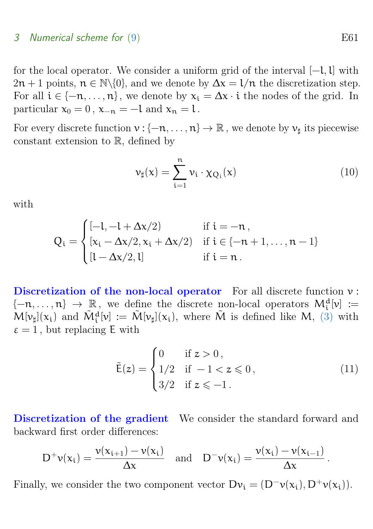#### 3 Numerical scheme for  $(9)$  E61

for the local operator. We consider a uniform grid of the interval [−l,l] with  $2n + 1$  points,  $n \in \mathbb{N}\backslash\{0\}$ , and we denote by  $\Delta x = 1/n$  the discretization step. For all  $i \in \{-n, \ldots, n\}$ , we denote by  $x_i = \Delta x \cdot i$  the nodes of the grid. In particular  $x_0 = 0$ ,  $x_{-n} = -1$  and  $x_n = 1$ .

For every discrete function  $v : \{-n, \ldots, n\} \to \mathbb{R}$ , we denote by  $v_{\sharp}$  its piecewise constant extension to R, defined by

<span id="page-11-0"></span>
$$
\nu_{\sharp}(x) = \sum_{i=1}^{n} \nu_i \cdot \chi_{Q_i}(x) \tag{10}
$$

with

$$
Q_i=\begin{cases} [-l,-l+\Delta x/2) &\text{if } i=-n\,,\\ [x_i-\Delta x/2,x_i+\Delta x/2) &\text{if } i\in\{-n+1,\ldots,n-1\}\\ [l-\Delta x/2,l] &\text{if } i=n\,. \end{cases}
$$

Discretization of the non-local operator For all discrete function  $\nu$ :  $\{-n, \ldots, n\} \rightarrow \mathbb{R}$ , we define the discrete non-local operators  $M_i^d[\nu] :=$  $M[\nu_{\sharp}](x_i)$  and  $\tilde{M}_i^d[\nu] := \tilde{M}[\nu_{\sharp}](x_i)$ , where  $\tilde{M}$  is defined like M, [\(3\)](#page-6-1) with  $\epsilon = 1$ , but replacing E with

<span id="page-11-1"></span>
$$
\tilde{E}(z) = \begin{cases}\n0 & \text{if } z > 0, \\
1/2 & \text{if } -1 < z \le 0, \\
3/2 & \text{if } z \le -1.\n\end{cases}
$$
\n(11)

Discretization of the gradient We consider the standard forward and backward first order differences:

$$
D^+\nu(x_i) = \frac{\nu(x_{i+1}) - \nu(x_i)}{\Delta x} \quad \text{and} \quad D^-\nu(x_i) = \frac{\nu(x_i) - \nu(x_{i-1})}{\Delta x}.
$$

Finally, we consider the two component vector  $Dv_i = (D^-v(x_i), D^+v(x_i)).$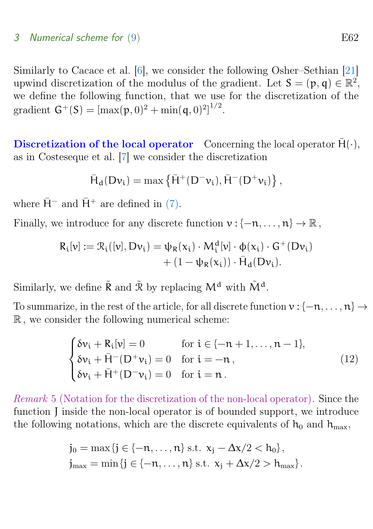#### <span id="page-12-2"></span>3 Numerical scheme for  $(9)$  E62

Similarly to Cacace et al. [\[6\]](#page-45-1), we consider the following Osher–Sethian [\[21\]](#page-46-7) upwind discretization of the modulus of the gradient. Let  $S = (p, q) \in \mathbb{R}^2$ , we define the following function, that we use for the discretization of the gradient  $G^+(S) = [\max(p, 0)^2 + \min(q, 0)^2]^{1/2}$ .

Discretization of the local operator Concerning the local operator  $\bar{H}(\cdot)$ , as in Costeseque et al. [\[7\]](#page-45-2) we consider the discretization

$$
\bar{H}_d(D\nu_i)=\max\left\{\bar{H}^+(D^-\nu_i),\bar{H}^-(D^+\nu_i)\right\},
$$

where  $\bar{H}^-$  and  $\bar{H}^+$  are defined in [\(7\).](#page-8-2)

Finally, we introduce for any discrete function  $v : \{-n, \ldots, n\} \to \mathbb{R}$ ,

$$
R_i[\nu] := \mathcal{R}_i([\nu], D\nu_i) = \psi_R(x_i) \cdot M_i^d[\nu] \cdot \phi(x_i) \cdot G^+(\nu_i) + (1 - \psi_R(x_i)) \cdot \bar{H}_d(D\nu_i).
$$

Similarly, we define  $\tilde{\mathsf{R}}$  and  $\tilde{\mathcal{R}}$  by replacing  $\mathsf{M}^{\mathbf{d}}$  with  $\tilde{\mathsf{M}}^{\mathbf{d}}.$ 

To summarize, in the rest of the article, for all discrete function  $v : \{-n, \ldots, n\} \rightarrow$ R , we consider the following numerical scheme:

<span id="page-12-0"></span>
$$
\begin{cases}\n\delta v_{i} + R_{i}[v] = 0 & \text{for } i \in \{-n+1, ..., n-1\}, \\
\delta v_{i} + \bar{H}^{-}(D^{+}v_{i}) = 0 & \text{for } i = -n, \\
\delta v_{i} + \bar{H}^{+}(D^{-}v_{i}) = 0 & \text{for } i = n.\n\end{cases}
$$
\n(12)

<span id="page-12-1"></span>Remark 5 (Notation for the discretization of the non-local operator). Since the function J inside the non-local operator is of bounded support, we introduce the following notations, which are the discrete equivalents of  $h_0$  and  $h_{\text{max}}$ ,

$$
\begin{aligned} j_0 &= \max\{j \in \{-n, \dots, n\} \text{ s.t. } x_j - \Delta x/2 < h_0\}, \\ j_{\text{max}} &= \min\{j \in \{-n, \dots, n\} \text{ s.t. } x_j + \Delta x/2 > h_{\text{max}}\}. \end{aligned}
$$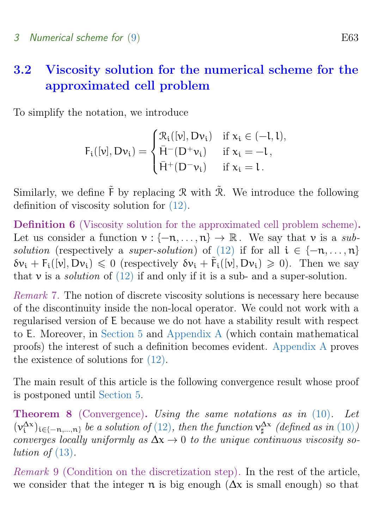## <span id="page-13-0"></span>3.2 Viscosity solution for the numerical scheme for the approximated cell problem

To simplify the notation, we introduce

$$
F_i([v],D\nu_i)=\begin{cases}\mathfrak{R}_i([v],D\nu_i)&\text{if }x_i\in(-l,l),\\ \bar{H}^-(D^+\nu_i)&\text{if }x_i=-l,\\ \bar{H}^+(D^-\nu_i)&\text{if }x_i=l.\end{cases}
$$

Similarly, we define  $\tilde{F}$  by replacing R with  $\tilde{\mathcal{R}}$ . We introduce the following definition of viscosity solution for [\(12\).](#page-12-0)

<span id="page-13-2"></span>Definition 6 (Viscosity solution for the approximated cell problem scheme). Let us consider a function  $v : \{-n, \ldots, n\} \to \mathbb{R}$ . We say that v is a sub-solution (respectively a super-solution) of [\(12\)](#page-12-0) if for all  $i \in \{-n, \ldots, n\}$  $\delta v_i + F_i([v], Dv_i) \leq 0$  (respectively  $\delta v_i + \tilde{F}_i([v], Dv_i) \geq 0$ ). Then we say that  $\nu$  is a *solution* of [\(12\)](#page-12-0) if and only if it is a sub- and a super-solution.

Remark 7. The notion of discrete viscosity solutions is necessary here because of the discontinuity inside the non-local operator. We could not work with a regularised version of E because we do not have a stability result with respect to E. Moreover, in [Section 5](#page-19-0) and [Appendix A](#page-38-0) (which contain mathematical proofs) the interest of such a definition becomes evident. [Appendix A](#page-38-0) proves the existence of solutions for [\(12\).](#page-12-0)

The main result of this article is the following convergence result whose proof is postponed until [Section 5.](#page-19-0)

<span id="page-13-1"></span>Theorem 8 (Convergence). Using the same notations as in [\(10\)](#page-11-0). Let  $(v_i^{\Delta x})_{i \in \{-n,\dots,n\}}$  be a solution of  $(12)$ , then the function  $v_{\sharp}^{\Delta x}$  (defined as in  $(10)$ ) converges locally uniformly as  $\Delta x \rightarrow 0$  to the unique continuous viscosity solution of  $(13)$ .

Remark 9 (Condition on the discretization step). In the rest of the article, we consider that the integer  $\pi$  is big enough ( $\Delta x$  is small enough) so that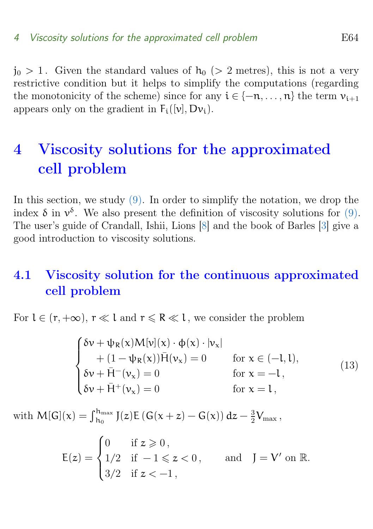<span id="page-14-4"></span> $j_0 > 1$ . Given the standard values of  $h_0$  (> 2 metres), this is not a very restrictive condition but it helps to simplify the computations (regarding the monotonicity of the scheme) since for any  $i \in \{-n, \ldots, n\}$  the term  $v_{i+1}$ appears only on the gradient in  $F_i([v], Dv_i)$ .

## <span id="page-14-0"></span>4 Viscosity solutions for the approximated cell problem

In this section, we study  $(9)$ . In order to simplify the notation, we drop the index  $\delta$  in  $v^{\delta}$ . We also present the definition of viscosity solutions for [\(9\).](#page-10-1) The user's guide of Crandall, Ishii, Lions [\[8\]](#page-45-6) and the book of Barles [\[3\]](#page-44-3) give a good introduction to viscosity solutions.

## <span id="page-14-1"></span>4.1 Viscosity solution for the continuous approximated cell problem

For  $l \in (r, +\infty)$ ,  $r \ll l$  and  $r \le R \ll l$ , we consider the problem

<span id="page-14-2"></span>
$$
\begin{cases}\n\delta v + \psi_{R}(x)M[v](x) \cdot \phi(x) \cdot |v_{x}| \\
+ (1 - \psi_{R}(x))\overline{H}(v_{x}) = 0 \quad \text{for } x \in (-1, 1), \\
\delta v + \overline{H}^{-}(v_{x}) = 0 \quad \text{for } x = -1, \\
\delta v + \overline{H}^{+}(v_{x}) = 0 \quad \text{for } x = 1,\n\end{cases}
$$
\n(13)

with  $\mathsf{M}[\mathsf{G}](\mathsf{x}) = \int_{\mathsf{h}_0}^{\mathsf{h}_{\max}} \mathrm{J}(z) \mathsf{E}\left(\mathsf{G}(\mathsf{x}+z) - \mathsf{G}(\mathsf{x})\right) \mathrm{d}z - \frac{3}{2}$  $\frac{3}{2}V_{\text{max}}$  ,

<span id="page-14-3"></span>
$$
\mathsf{E}(z) = \begin{cases} 0 & \text{if } z \geqslant 0\,, \\ 1/2 & \text{if } -1 \leqslant z < 0\,, \qquad \text{and} \quad J = V' \text{ on } \mathbb{R}. \\ 3/2 & \text{if } z < -1\,, \end{cases}
$$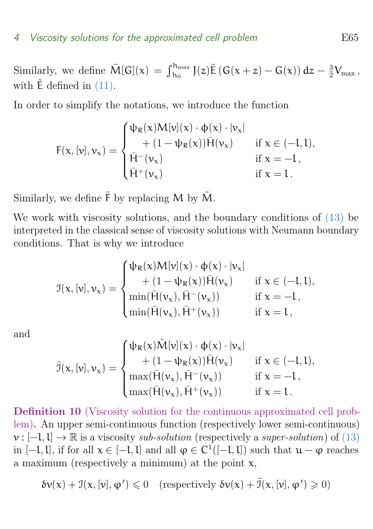#### 4 Viscosity solutions for the approximated cell problem E65

Similarly, we define  $\tilde{M}[G](x) = \int_{h_0}^{h_{\text{max}}} J(z)\tilde{E}(G(x+z) - G(x)) dz - \frac{3}{2}$  $\frac{3}{2}V_{\text{max}}$  , with  $\tilde{E}$  defined in [\(11\).](#page-11-1)

In order to simplify the notations, we introduce the function

$$
F(x,[\nu],\nu_x)=\begin{cases} \psi_R(x)M[\nu](x)\cdot\varphi(x)\cdot|\nu_x|\\ \qquad+(1-\psi_R(x))\bar H(\nu_x) &\text{if } x\in(-l,l),\\ \bar H^-(\nu_x) &\text{if } x=-l,\\ \bar H^+(\nu_x) &\text{if } x=l\,.\end{cases}
$$

Similarly, we define  $\tilde{F}$  by replacing M by  $\tilde{M}$ .

We work with viscosity solutions, and the boundary conditions of [\(13\)](#page-14-2) be interpreted in the classical sense of viscosity solutions with Neumann boundary conditions. That is why we introduce

$$
\mathbb{J}(\mathsf{x},[\nu],\nu_\mathsf{x}) = \begin{cases} \psi_\mathsf{R}(\mathsf{x})M[\nu](\mathsf{x})\cdot\varphi(\mathsf{x})\cdot|\nu_\mathsf{x}| \\ \quad + (1-\psi_\mathsf{R}(\mathsf{x}))\bar{H}(\nu_\mathsf{x}) & \text{if } \mathsf{x} \in (-\mathsf{l},\mathsf{l}) , \\ \min(\bar{H}(\nu_\mathsf{x}),\bar{H}^-(\nu_\mathsf{x})) & \text{if } \mathsf{x} = -\mathsf{l} , \\ \min(\bar{H}(\nu_\mathsf{x}),\bar{H}^+(\nu_\mathsf{x})) & \text{if } \mathsf{x} = \mathsf{l} , \end{cases}
$$

and

$$
\tilde{\mathcal{I}}(\mathsf{x},[\nu],\nu_\mathsf{x}) = \begin{cases} \psi_\mathsf{R}(\mathsf{x})\tilde{M}[\nu](\mathsf{x})\cdot\varphi(\mathsf{x})\cdot|\nu_\mathsf{x}| \\ \quad + (1-\psi_\mathsf{R}(\mathsf{x}))\bar{H}(\nu_\mathsf{x}) & \text{if } \mathsf{x} \in (-\mathsf{l},\mathsf{l}) , \\ \max(\bar{H}(\nu_\mathsf{x}),\bar{H}^-(\nu_\mathsf{x})) & \text{if } \mathsf{x} = -\mathsf{l} , \\ \max(\bar{H}(\nu_\mathsf{x}),\bar{H}^+(\nu_\mathsf{x})) & \text{if } \mathsf{x} = \mathsf{l} . \end{cases}
$$

<span id="page-15-0"></span>Definition 10 (Viscosity solution for the continuous approximated cell problem). An upper semi-continuous function (respectively lower semi-continuous)  $v : [-l, l] \rightarrow \mathbb{R}$  is a viscosity sub-solution (respectively a super-solution) of [\(13\)](#page-14-2) in  $[-l, l]$ , if for all  $x \in [-l, l]$  and all  $\varphi \in C^1([-l, l])$  such that  $u - \varphi$  reaches a maximum (respectively a minimum) at the point  $x$ ,

$$
\delta \nu(x) + \mathcal{I}(x, [\nu], \varphi') \leq 0 \quad \text{(respectively } \delta \nu(x) + \tilde{\mathcal{I}}(x, [\nu], \varphi') \geq 0\text{)}
$$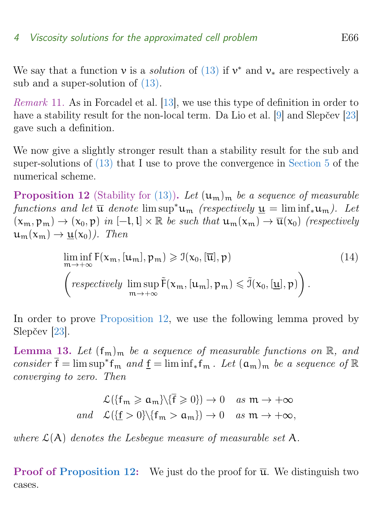#### <span id="page-16-2"></span>4 Viscosity solutions for the approximated cell problem E66

We say that a function  $\nu$  is a *solution* of [\(13\)](#page-14-2) if  $\nu^*$  and  $\nu_*$  are respectively a sub and a super-solution of [\(13\).](#page-14-2)

Remark 11. As in Forcadel et al. [\[13\]](#page-45-0), we use this type of definition in order to have a stability result for the non-local term. Da Lio et al. [\[9\]](#page-45-7) and Slepčev [\[23\]](#page-47-1) gave such a definition.

We now give a slightly stronger result than a stability result for the sub and super-solutions of [\(13\)](#page-14-2) that I use to prove the convergence in [Section 5](#page-19-0) of the numerical scheme.

<span id="page-16-0"></span>**Proposition 12** (Stability for [\(13\)\)](#page-14-2). Let  $(\mathfrak{u}_{\mathfrak{m}})_{\mathfrak{m}}$  be a sequence of measurable functions and let  $\overline{u}$  denote lim sup<sup>\*</sup>u<sub>m</sub> (respectively  $u = \liminf_{\alpha \to \infty} u$ ). Let  $(x_m, p_m) \rightarrow (x_0, p)$  in  $[-l, l] \times \mathbb{R}$  be such that  $u_m(x_m) \rightarrow \overline{u}(x_0)$  (respectively  $u_m(x_m) \rightarrow u(x_0)$ . Then

$$
\liminf_{m \to +\infty} F(x_m, [u_m], p_m) \geq \mathcal{I}(x_0, [\overline{u}], p)
$$
\n
$$
\left(\text{respectively } \limsup_{m \to +\infty} \tilde{F}(x_m, [u_m], p_m) \leq \tilde{\mathcal{I}}(x_0, [\underline{u}], p)\right).
$$
\n(14)

In order to prove [Proposition 12,](#page-16-0) we use the following lemma proved by Slepčev [\[23\]](#page-47-1).

<span id="page-16-1"></span>**Lemma 13.** Let  $(f_m)_m$  be a sequence of measurable functions on  $\mathbb{R}$ , and consider  $\bar{f} = \limsup^* f_m$  and  $\underline{f} = \liminf_* f_m$ . Let  $(a_m)_m$  be a sequence of  $\mathbb R$ converging to zero. Then

$$
\mathcal{L}\left(\{f_m \ge a_m\}\backslash \{\overline{f} \ge 0\}\right) \to 0 \quad \text{as } m \to +\infty
$$
  
and 
$$
\mathcal{L}\left(\{\underline{f} > 0\}\backslash \{f_m > a_m\}\right) \to 0 \quad \text{as } m \to +\infty,
$$

where  $\mathcal{L}(A)$  denotes the Lesbegue measure of measurable set A.

**Proof of [Proposition 12:](#page-16-0)** We just do the proof for  $\overline{u}$ . We distinguish two cases.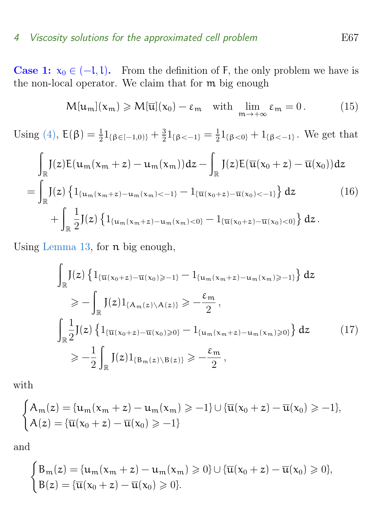#### 4 Viscosity solutions for the approximated cell problem E67

**Case 1:**  $x_0 \in (-1,1)$ . From the definition of F, the only problem we have is the non-local operator. We claim that for m big enough

<span id="page-17-2"></span><span id="page-17-0"></span>
$$
M[\mathfrak{u}_{\mathfrak{m}}](x_{\mathfrak{m}}) \geqslant M[\overline{\mathfrak{u}}](x_0) - \varepsilon_{\mathfrak{m}} \quad \text{with} \quad \lim_{\mathfrak{m} \to +\infty} \varepsilon_{\mathfrak{m}} = 0. \tag{15}
$$

Using [\(4\),](#page-6-2)  $E(\beta) = \frac{1}{2} 1_{\{\beta \in [-1,0)\}} + \frac{3}{2}$  $\frac{3}{2}1_{\{\beta<-1\}}=\frac{1}{2}$  $\frac{1}{2}1_{\{\beta<0\}}+1_{\{\beta<-1\}}$ . We get that

$$
\int_{\mathbb{R}} J(z)E(u_{m}(x_{m}+z)-u_{m}(x_{m}))dz - \int_{\mathbb{R}} J(z)E(\overline{u}(x_{0}+z)-\overline{u}(x_{0}))dz
$$
\n
$$
= \int_{\mathbb{R}} J(z)\left\{1_{\{u_{m}(x_{m}+z)-u_{m}(x_{m})<-1\}}-1_{\{\overline{u}(x_{0}+z)-\overline{u}(x_{0})<-1\}}\right\} dz
$$
\n
$$
+ \int_{\mathbb{R}} \frac{1}{2} J(z)\left\{1_{\{u_{m}(x_{m}+z)-u_{m}(x_{m})<0\}}-1_{\{\overline{u}(x_{0}+z)-\overline{u}(x_{0})<0\}}\right\} dz.
$$
\n(16)

Using [Lemma 13,](#page-16-1) for n big enough,

<span id="page-17-1"></span>
$$
\int_{\mathbb{R}} J(z) \left\{ 1_{\{\overline{u}(x_0+z) - \overline{u}(x_0) \ge -1\}} - 1_{\{u_m(x_m+z) - u_m(x_m) \ge -1\}} \right\} dz
$$
\n
$$
\ge - \int_{\mathbb{R}} J(z) 1_{\{A_m(z) \setminus A(z)\}} \ge -\frac{\varepsilon_m}{2},
$$
\n
$$
\int_{\mathbb{R}} \frac{1}{2} J(z) \left\{ 1_{\{\overline{u}(x_0+z) - \overline{u}(x_0) \ge 0\}} - 1_{\{u_m(x_m+z) - u_m(x_m) \ge 0\}} \right\} dz
$$
\n
$$
\ge -\frac{1}{2} \int_{\mathbb{R}} J(z) 1_{\{B_m(z) \setminus B(z)\}} \ge -\frac{\varepsilon_m}{2},
$$
\n(17)

with

$$
\begin{cases} A_m(z)=\{u_m(x_m+z)-u_m(x_m)\geqslant -1\}\cup \{\overline{u}(x_0+z)-\overline{u}(x_0)\geqslant -1\},\\ A(z)=\{\overline{u}(x_0+z)-\overline{u}(x_0)\geqslant -1\} \end{cases}
$$

and

$$
\begin{cases} B_m(z) = \{u_m(x_m + z) - u_m(x_m) \geqslant 0\} \cup \{\overline{u}(x_0 + z) - \overline{u}(x_0) \geqslant 0\}, \\ B(z) = \{\overline{u}(x_0 + z) - \overline{u}(x_0) \geqslant 0\}. \end{cases}
$$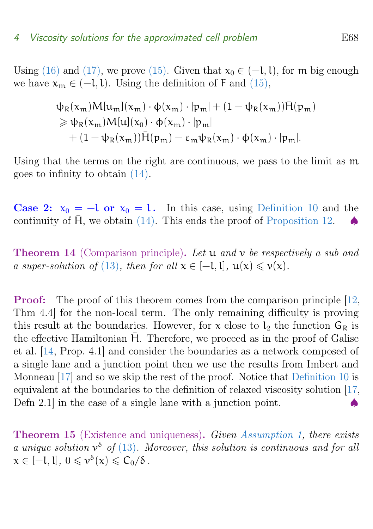<span id="page-18-0"></span>Using [\(16\)](#page-17-0) and [\(17\),](#page-17-1) we prove [\(15\).](#page-17-2) Given that  $x_0 \in (-1,1)$ , for m big enough we have  $x_m \in (-1,1)$ . Using the definition of F and [\(15\),](#page-17-2)

$$
\psi_{R}(x_{m})M[u_{m}](x_{m})\cdot\phi(x_{m})\cdot|p_{m}|+(1-\psi_{R}(x_{m}))\overline{H}(p_{m})\geq \psi_{R}(x_{m})M[\overline{u}](x_{0})\cdot\phi(x_{m})\cdot|p_{m}|+(1-\psi_{R}(x_{m}))\overline{H}(p_{m})-\varepsilon_{m}\psi_{R}(x_{m})\cdot\phi(x_{m})\cdot|p_{m}|.
$$

Using that the terms on the right are continuous, we pass to the limit as m goes to infinity to obtain [\(14\).](#page-14-3)

**Case 2:**  $x_0 = -1$  or  $x_0 = 1$ . In this case, using [Definition 10](#page-15-0) and the continuity of  $\bar{H}$ , we obtain [\(14\).](#page-14-3) This ends the proof of [Proposition 12.](#page-16-0)

**Theorem 14** (Comparison principle). Let  $u$  and  $v$  be respectively a sub and a super-solution of [\(13\)](#page-14-2), then for all  $x \in [-1,1]$ ,  $u(x) \leq v(x)$ .

Proof: The proof of this theorem comes from the comparison principle [\[12,](#page-45-5) Thm 4.4] for the non-local term. The only remaining difficulty is proving this result at the boundaries. However, for  $x$  close to  $l_2$  the function  $G_R$  is the effective Hamiltonian  $\overline{H}$ . Therefore, we proceed as in the proof of Galise et al. [\[14,](#page-46-5) Prop. 4.1] and consider the boundaries as a network composed of a single lane and a junction point then we use the results from Imbert and Monneau [\[17\]](#page-46-8) and so we skip the rest of the proof. Notice that [Definition 10](#page-15-0) is equivalent at the boundaries to the definition of relaxed viscosity solution [\[17,](#page-46-8) Defn 2.1 $\vert$  in the case of a single lane with a junction point.

Theorem 15 (Existence and uniqueness). Given [Assumption 1,](#page-4-1) there exists a unique solution  $v^{\delta}$  of [\(13\)](#page-14-2). Moreover, this solution is continuous and for all  $x \in [-1, 1], 0 \leqslant \nu^{\delta}(x) \leqslant C_0/\delta$ .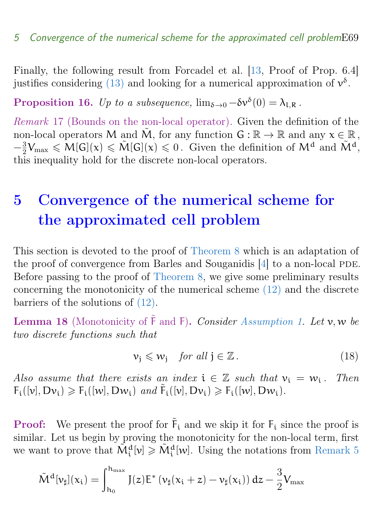<span id="page-19-4"></span>Finally, the following result from Forcadel et al. [\[13,](#page-45-0) Proof of Prop. 6.4] justifies considering [\(13\)](#page-14-2) and looking for a numerical approximation of  $v^{\delta}$ .

Proposition 16. Up to a subsequence,  $\lim_{\delta \to 0} -\delta v^{\delta}(0) = \lambda_{l,R}$ .

<span id="page-19-2"></span>Remark 17 (Bounds on the non-local operator). Given the definition of the non-local operators M and  $\tilde{M}$ , for any function  $G : \mathbb{R} \to \mathbb{R}$  and any  $x \in \mathbb{R}$ ,  $-\frac{3}{2}$  $\frac{3}{2}V_{\text{max}} \leqslant M[G](x) \leqslant \tilde{M}[G](x) \leqslant 0.$  Given the definition of  $M^d$  and  $\tilde{M}^d$ , this inequality hold for the discrete non-local operators.

## <span id="page-19-0"></span>5 Convergence of the numerical scheme for the approximated cell problem

This section is devoted to the proof of [Theorem 8](#page-13-1) which is an adaptation of the proof of convergence from Barles and Souganidis  $[4]$  to a non-local PDE. Before passing to the proof of [Theorem 8,](#page-13-1) we give some preliminary results concerning the monotonicity of the numerical scheme [\(12\)](#page-12-0) and the discrete barriers of the solutions of [\(12\).](#page-12-0)

<span id="page-19-3"></span>**Lemma 18** (Monotonicity of  $\tilde{F}$  and  $F$ ). Consider [Assumption 1.](#page-4-1) Let  $v, w$  be two discrete functions such that

<span id="page-19-1"></span>
$$
\nu_j \leqslant \nu_j \quad \text{for all } j \in \mathbb{Z} \,.
$$

Also assume that there exists an index  $i \in \mathbb{Z}$  such that  $v_i = w_i$ . Then  $F_i([v], Dv_i) \geq F_i([w], Dw_i)$  and  $\tilde{F}_i([v], Dv_i) \geq F_i([w], Dw_i)$ .

**Proof:** We present the proof for  $\tilde{F}_i$  and we skip it for  $F_i$  since the proof is similar. Let us begin by proving the monotonicity for the non-local term, first we want to prove that  $\tilde{M}_i^d[v] \geqslant \tilde{M}_i^d[w]$ . Using the notations from [Remark 5](#page-12-1)

$$
\tilde{M}^d[\nu_\sharp](x_i)=\int_{h_0}^{h_{\max}}J(z)E^*\left(\nu_\sharp(x_i+z)-\nu_\sharp(x_i)\right)dz-\frac{3}{2}V_{\max}
$$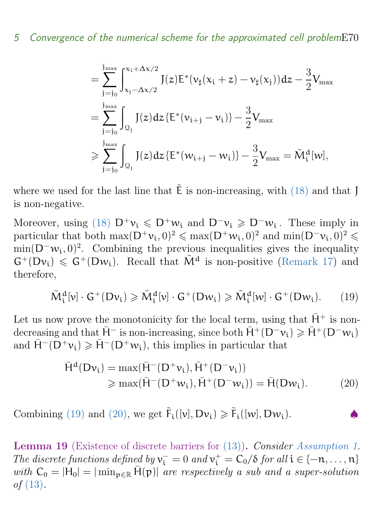#### 5 Convergence of the numerical scheme for the approximated cell problemE70

$$
= \sum_{j=j_0}^{j_{\text{max}}} \int_{x_j - \Delta x/2}^{x_i + \Delta x/2} J(z) E^* (\nu_\sharp(x_i + z) - \nu_\sharp(x_j)) dz - \frac{3}{2} V_{\text{max}} = \sum_{j=j_0}^{j_{\text{max}}} \int_{\Omega_j} J(z) dz \{E^* (\nu_{i+j} - \nu_i) \} - \frac{3}{2} V_{\text{max}} \geqslant \sum_{j=j_0}^{j_{\text{max}}} \int_{\Omega_j} J(z) dz \{E^* (\nu_{i+j} - \nu_i) \} - \frac{3}{2} V_{\text{max}} = \tilde{M}_i^d [\nu],
$$

where we used for the last line that  $\tilde{E}$  is non-increasing, with [\(18\)](#page-19-1) and that J is non-negative.

Moreover, using [\(18\)](#page-19-1)  $D^+\nu_i \leq D^+\nu_i$  and  $D^-\nu_i \geq D^-\nu_i$ . These imply in particular that both  $\max(D^+\nu_i, 0)^2 \leq \max(D^+\nu_i, 0)^2$  and  $\min(D^-\nu_i, 0)^2 \leq$  $\min(D^{\dagger}w_i, 0)^2$ . Combining the previous inequalities gives the inequality  $G^+(Dv_i) \leq G^+(Dw_i)$ . Recall that  $\tilde{M}^d$  is non-positive [\(Remark 17\)](#page-19-2) and therefore,

<span id="page-20-0"></span>
$$
\tilde{M}_i^d[v] \cdot G^+(Dv_i) \geq \tilde{M}_i^d[v] \cdot G^+(Dw_i) \geq \tilde{M}_i^d[w] \cdot G^+(Dw_i). \tag{19}
$$

Let us now prove the monotonicity for the local term, using that  $\bar{H}^+$  is nondecreasing and that  $\bar{H}^-$  is non-increasing, since both  $\bar{H}^+ (D^- \nu_i) \geq \bar{H}^+ (D^- \nu_i)$ and  $\bar{H}^{-}(D^{+}v_{i}) \ge \bar{H}^{-}(D^{+}w_{i})$ , this implies in particular that

<span id="page-20-1"></span>
$$
\bar{H}^{d}(Dv_{i}) = \max(\bar{H}^{-}(D^{+}v_{i}), \bar{H}^{+}(D^{-}v_{i}))
$$
\n
$$
\geq \max(\bar{H}^{-}(D^{+}w_{i}), \bar{H}^{+}(D^{-}w_{i})) = \bar{H}(Dw_{i}).
$$
\n(20)

Combining [\(19\)](#page-20-0) and [\(20\),](#page-20-1) we get  $\tilde{F}_i([v], Dv_i) \ge \tilde{F}_i([w], Dw_i)$ .

<span id="page-20-2"></span>Lemma 19 (Existence of discrete barriers for [\(13\)\)](#page-14-2). Consider [Assumption 1.](#page-4-1) The discrete functions defined by  $v_i^- = 0$  and  $v_i^+ = C_0/\delta$  for all  $i \in \{-n, \ldots, n\}$ with  $C_0 = |H_0| = |\min_{p \in \mathbb{R}} \bar{H}(p)|$  are respectively a sub and a super-solution of [\(13\)](#page-14-2).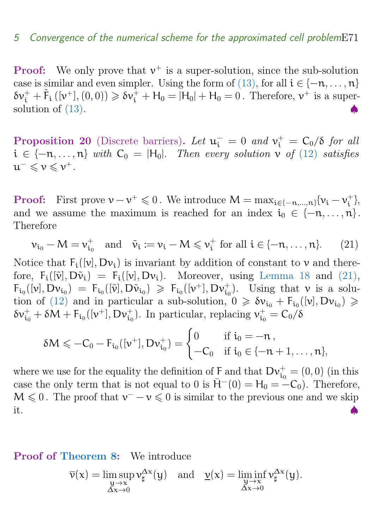#### 5 Convergence of the numerical scheme for the approximated cell problemE71

**Proof:** We only prove that  $v^+$  is a super-solution, since the sub-solution case is similar and even simpler. Using the form of [\(13\),](#page-14-2) for all  $i \in \{-n, \ldots, n\}$  $\delta v_i^+ + \tilde{F}_i (v^+), (0,0) \ge \delta v_i^+ + H_0 = |H_0| + H_0 = 0$ . Therefore,  $v^+$  is a supersolution of  $(13)$ .

<span id="page-21-1"></span>**Proposition 20** (Discrete barriers). Let  $\mathbf{u}_i^-=0$  and  $\mathbf{v}_i^+=\mathbf{C}_0/\delta$  for all  $i \in \{-n, \ldots, n\}$  with  $C_0 = |H_0|$ . Then every solution v of [\(12\)](#page-12-0) satisfies  $u^{-} \leqslant v \leqslant v^{+}.$ 

**Proof:** First prove  $v - v^+ \leq 0$ . We introduce  $M = \max_{i \in \{-n, ..., n\}} \{v_i - v_i^+ \}$  $\begin{matrix} + \\ 1 \end{matrix}$ and we assume the maximum is reached for an index  $i_0 \in \{-n, \ldots, n\}$ . Therefore

<span id="page-21-0"></span>
$$
\nu_{i_0} - M = \nu_{i_0}^+ \quad \text{and} \quad \tilde{\nu}_i := \nu_i - M \leqslant \nu_i^+ \text{ for all } i \in \{-n, \dots, n\}. \tag{21}
$$

Notice that  $F_i([v], Dv_i)$  is invariant by addition of constant to v and therefore,  $F_i([\tilde{v}], D\tilde{v}_i) = F_i([v], Dv_i)$ . Moreover, using [Lemma 18](#page-19-3) and [\(21\),](#page-21-0)  $F_{i_0}([\nu], D_{\mathcal{V}_{i_0}}) = F_{i_0}([\tilde{\nu}], D\tilde{\nu}_{i_0}) \geq F_{i_0}([\nu^+], D_{\mathcal{V}_{i_0}})$ . Using that  $\nu$  is a solu-tion of [\(12\)](#page-12-0) and in particular a sub-solution,  $0 \geq \delta v_{i_0} + F_{i_0}([v], Dv_{i_0}) \geq$  $\delta v_{i_0}^+ + \delta M + F_{i_0}([v^+], Dv_{i_0}^+).$  In particular, replacing  $v_{i_0}^+ = C_0/\delta$ 

$$
\delta M \leqslant -C_0-F_{i_0}([\nu^+],D\nu^+_{i_0})=\begin{cases} 0 & \text{if $i_0=-n$},\\ -C_0 & \text{if $i_0\in\{-n+1,\ldots,n\}$,}\end{cases}
$$

where we use for the equality the definition of  $\overline{F}$  and that  $Dv_{i_0}^+ = (0,0)$  (in this case the only term that is not equal to 0 is  $\bar{H}^-(0) = H_0 = -C_0$ . Therefore,  $M \leq 0$ . The proof that  $\nu^{-} - \nu \leq 0$  is similar to the previous one and we skip it.  $\bullet$ 

#### Proof of [Theorem 8:](#page-13-1) We introduce

$$
\overline{\nu}(\mathsf{x}) = \limsup_{\substack{\mathsf{y}\to\mathsf{x}\\ \Delta\mathsf{x}\to 0}} \nu_{\sharp}^{\Delta\mathsf{x}}(\mathsf{y}) \quad \text{and} \quad \underline{\nu}(\mathsf{x}) = \liminf_{\substack{\mathsf{y}\to\mathsf{x}\\ \Delta\mathsf{x}\to 0}} \nu_{\sharp}^{\Delta\mathsf{x}}(\mathsf{y}).
$$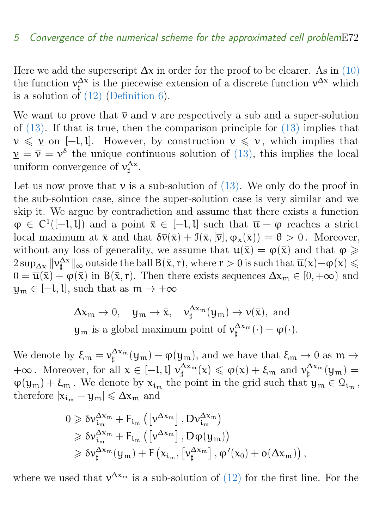Here we add the superscript  $\Delta x$  in order for the proof to be clearer. As in [\(10\)](#page-11-0) the function  $v_{\sharp}^{\Delta x}$  is the piecewise extension of a discrete function  $v^{\Delta x}$  which is a solution of  $(12)$  [\(Definition 6\)](#page-13-2).

We want to prove that  $\overline{v}$  and  $v$  are respectively a sub and a super-solution of [\(13\).](#page-14-2) If that is true, then the comparison principle for [\(13\)](#page-14-2) implies that  $\bar{\nu} \leq \nu$  on [−l, l]. However, by construction  $\nu \leq \bar{\nu}$ , which implies that  $\underline{v} = \overline{v} = v^{\delta}$  the unique continuous solution of [\(13\),](#page-14-2) this implies the local uniform convergence of  $v_{\sharp}^{\Delta x}$ .

Let us now prove that  $\bar{\nu}$  is a sub-solution of [\(13\).](#page-14-2) We only do the proof in the sub-solution case, since the super-solution case is very similar and we skip it. We argue by contradiction and assume that there exists a function  $\varphi \in C^1([-l, l])$  and a point  $\bar{x} \in [-l, l]$  such that  $\bar{u} - \varphi$  reaches a strict local maximum at  $\bar{x}$  and that  $\delta \bar{v}(\bar{x}) + \mathcal{I}(\bar{x}, [\bar{v}], \varphi_x(\bar{x})) = \theta > 0$ . Moreover, without any loss of generality, we assume that  $\overline{\mathfrak{u}}(\overline{x}) = \varphi(\overline{x})$  and that  $\varphi \geq$  $2 \sup_{\Delta x} ||v^{\Delta x}||_{\infty}$  outside the ball  $B(\bar{x}, r)$ , where  $r > 0$  is such that  $\overline{u}(x) - \varphi(x) \le$  $0 = \overline{\mathfrak{u}}(\overline{x}) - \varphi(\overline{x})$  in  $B(\overline{x}, r)$ . Then there exists sequences  $\Delta x_m \in [0, +\infty)$  and  $y_m \in [-l, l]$ , such that as  $m \to +\infty$ 

> $\Delta x_m \to 0$ ,  $y_m \to \bar{x}$ ,  $v_{\sharp}^{\Delta x_m}(y_m) \to \bar{v}(\bar{x})$ , and  $y_m$  is a global maximum point of  $\nu_{\sharp}^{\Delta x_m}(\cdot) - \varphi(\cdot)$ .

We denote by  $\xi_m = \nu_{\sharp}^{\Delta x_m}(\mathfrak{y}_m) - \varphi(\mathfrak{y}_m)$ , and we have that  $\xi_m \to 0$  as  $m \to \infty$  $+\infty$ . Moreover, for all  $x \in [-l, l]$   $\nu_{\sharp}^{\Delta x_m}(x) \leq \varphi(x) + \xi_m$  and  $\nu_{\sharp}^{\Delta x_m}(y_m) =$  $\varphi(y_m) + \xi_m$ . We denote by  $x_{i_m}$  the point in the grid such that  $y_m \in \Omega_{i_m}$ , therefore  $|x_{i_m} - y_m| \leq \Delta x_m$  and

$$
\begin{aligned} 0 &\geqslant \delta\nu_{i_m}^{\Delta x_m} + F_{i_m}\left(\left[\nu^{\Delta x_m}\right],D\nu_{i_m}^{\Delta x_m}\right) \\ &\geqslant \delta\nu_{i_m}^{\Delta x_m} + F_{i_m}\left(\left[\nu^{\Delta x_m}\right],D\phi(y_m)\right) \\ &\geqslant \delta\nu_{\sharp}^{\Delta x_m}(y_m) + F\left(x_{i_m},\left[\nu_{\sharp}^{\Delta x_m}\right],\phi'(x_0) + o(\Delta x_m)\right), \end{aligned}
$$

where we used that  $v^{\Delta x_m}$  is a sub-solution of [\(12\)](#page-12-0) for the first line. For the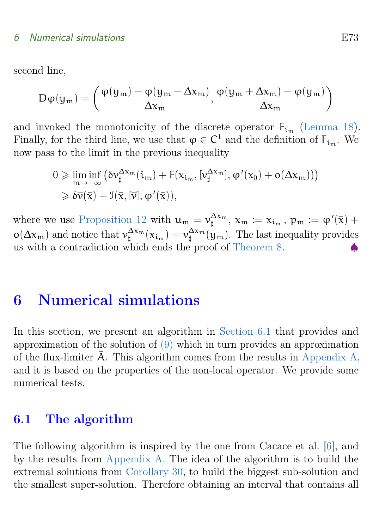<span id="page-23-2"></span>second line,

$$
D\varphi(y_m) = \left(\frac{\varphi(y_m) - \varphi(y_m - \Delta x_m)}{\Delta x_m}, \frac{\varphi(y_m + \Delta x_m) - \varphi(y_m)}{\Delta x_m}\right)
$$

and invoked the monotonicity of the discrete operator  $F_{i_m}$  [\(Lemma 18\)](#page-19-3). Finally, for the third line, we use that  $\varphi \in C^1$  and the definition of  $F_{i_m}$ . We now pass to the limit in the previous inequality

$$
\begin{aligned} 0 &\geqslant \liminf_{m\to+\infty}\big(\delta\nu_\sharp^{\Delta x_m}(i_m)+F(x_{i_m},[\nu_\sharp^{\Delta x_m}],\phi'(x_0)+o(\Delta x_m))\big)\\ &\geqslant \delta\overline{\nu}(\bar{x})+\mathfrak{I}(\bar{x},[\bar{\nu}],\phi'(\bar{x})), \end{aligned}
$$

where we use [Proposition 12](#page-16-0) with  $u_m = v_\sharp^{\Delta x_m}$ ,  $x_m := x_{i_m}$ ,  $p_m := \varphi'(\bar{x}) + \pi$  $o(\Delta x_m)$  and notice that  $v_{\sharp}^{\Delta x_m}(x_{i_m}) = v_{\sharp}^{\Delta x_m}(y_m)$ . The last inequality provides us with a contradiction which ends the proof of [Theorem 8.](#page-13-1)

## <span id="page-23-0"></span>6 Numerical simulations

In this section, we present an algorithm in [Section 6.1](#page-23-1) that provides and approximation of the solution of [\(9\)](#page-10-1) which in turn provides an approximation of the flux-limiter  $\overline{A}$ . This algorithm comes from the results in [Appendix A,](#page-38-0) and it is based on the properties of the non-local operator. We provide some numerical tests.

#### <span id="page-23-1"></span>6.1 The algorithm

The following algorithm is inspired by the one from Cacace et al. [\[6\]](#page-45-1), and by the results from [Appendix A.](#page-38-0) The idea of the algorithm is to build the extremal solutions from [Corollary 30,](#page-43-0) to build the biggest sub-solution and the smallest super-solution. Therefore obtaining an interval that contains all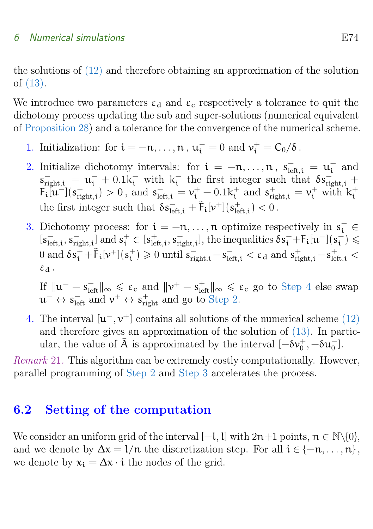the solutions of [\(12\)](#page-12-0) and therefore obtaining an approximation of the solution of [\(13\).](#page-14-2)

We introduce two parameters  $\varepsilon_d$  and  $\varepsilon_c$  respectively a tolerance to quit the dichotomy process updating the sub and super-solutions (numerical equivalent of [Proposition 28\)](#page-42-0) and a tolerance for the convergence of the numerical scheme.

- 1. Initialization: for  $i = -n, ..., n$ ,  $u_i^- = 0$  and  $v_i^+ = C_0/\delta$ .
- <span id="page-24-2"></span>2. Initialize dichotomy intervals: for  $i = -n, \ldots, n$ ,  $s_{\text{left},i}^- = u_i^ \bar{i}$  and  $s_{\text{right},i}^- = u_i^- + 0.1k_i^-$  with  $k_i^ \frac{1}{i}$  the first integer such that  $\delta s_{\text{right},i}^ F_i[u^{-}](s_{\text{right}}^{-})$  $\sigma_{\text{right},i}^{-}$  > 0, and  $s_{\text{left},i}^{-} = v_{i}^{+} - 0.1k_{i}^{+}$  $\mathbf{r}_i^+$  and  $\mathbf{s}_{\text{right},i}^+ = \mathbf{v}_i^+$  with  $\mathbf{k}_i^+$ i the first integer such that  $\delta s_{\text{left,i}}^- + \tilde{F}_i[\nu^+](s_{\text{le}}^+)$  $_{\rm left, i}^+$ )  $< 0$ .
- <span id="page-24-3"></span>3. Dichotomy process: for  $i = -n, ..., n$  optimize respectively in  $s_i^- \in$  $[s_{\text{le}}^-]$  $\frac{1}{\text{left}, i}$ ,  $s_{\text{right}}^{-}$  $\left[\begin{smallmatrix} -\ \mathop{\mathrm{right}}, \mathop{\mathrm{i}} \end{smallmatrix}\right]$  and  $s_i^+ \in [s_{\text{le}}^+]$  $_{\rm left,i}^+$ ,  $s_{\rm ri}^+$  $\frac{1}{\text{right},i}$ , the inequalities  $\delta s_i^- + F_i[\mathfrak{u}^-](s_i^-)$  $\frac{1}{i}$ )  $\leqslant$ 0 and  $\delta s_i^+ + \tilde{F}_i[\nu^+](s_i^+)$  $\sigma_i^+$  ) ≥ 0 until  $s_{\text{right,i}}^- - s_{\text{left,i}}^- < \varepsilon_d$  and  $s_{\text{right,i}}^+ - s_{\text{left,i}}^+ <$  $\epsilon_d$ .

If  $||u^- - s^-_{\text{left}}||_{\infty} \leq \varepsilon_c$  and  $||v^+ - s^+_{\text{left}}||_{\infty} \leq \varepsilon_c$  go to [Step 4](#page-24-1) else swap  $\mathfrak{u}^- \leftrightarrow s^-_{\text{left}}$  and  $v^+ \leftrightarrow s^+_{\text{right}}$  and go to [Step 2.](#page-24-2)

<span id="page-24-1"></span>4. The interval  $[\mathbf{u}^-, \mathbf{v}^+]$  contains all solutions of the numerical scheme [\(12\)](#page-12-0) and therefore gives an approximation of the solution of  $(13)$ . In particular, the value of  $\bar{A}$  is approximated by the interval  $[-\delta v_0^+, -\delta u_0^-]$ .

Remark 21. This algorithm can be extremely costly computationally. However, parallel programming of [Step 2](#page-24-2) and [Step 3](#page-24-3) accelerates the process.

#### <span id="page-24-0"></span>6.2 Setting of the computation

We consider an uniform grid of the interval [−l, l] with  $2n+1$  points,  $n \in \mathbb{N}\setminus\{0\}$ , and we denote by  $\Delta x = 1/n$  the discretization step. For all  $i \in \{-n, \ldots, n\}$ , we denote by  $x_i = \Delta x \cdot i$  the nodes of the grid.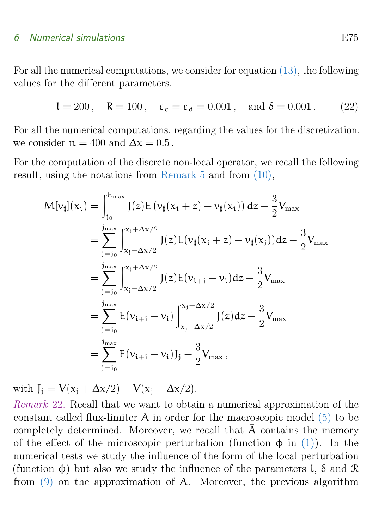For all the numerical computations, we consider for equation [\(13\),](#page-14-2) the following values for the different parameters.

<span id="page-25-0"></span>
$$
l = 200, \quad R = 100, \quad \varepsilon_c = \varepsilon_d = 0.001, \quad \text{and } \delta = 0.001. \tag{22}
$$

For all the numerical computations, regarding the values for the discretization, we consider  $n = 400$  and  $\Delta x = 0.5$ .

For the computation of the discrete non-local operator, we recall the following result, using the notations from [Remark 5](#page-12-1) and from [\(10\),](#page-11-0)

$$
M[\nu_{\sharp}](x_{i}) = \int_{j_{0}}^{h_{\max}} J(z)E(\nu_{\sharp}(x_{i} + z) - \nu_{\sharp}(x_{i})) dz - \frac{3}{2}V_{\max}
$$
  
\n
$$
= \sum_{j=j_{0}}^{j_{\max}} \int_{x_{j} - \Delta x/2}^{x_{j} + \Delta x/2} J(z)E(\nu_{\sharp}(x_{i} + z) - \nu_{\sharp}(x_{j})) dz - \frac{3}{2}V_{\max}
$$
  
\n
$$
= \sum_{j=j_{0}}^{j_{\max}} \int_{x_{j} - \Delta x/2}^{x_{j} + \Delta x/2} J(z)E(\nu_{i+j} - \nu_{i}) dz - \frac{3}{2}V_{\max}
$$
  
\n
$$
= \sum_{j=j_{0}}^{j_{\max}} E(\nu_{i+j} - \nu_{i}) \int_{x_{j} - \Delta x/2}^{x_{j} + \Delta x/2} J(z) dz - \frac{3}{2}V_{\max}
$$
  
\n
$$
= \sum_{j=j_{0}}^{j_{\max}} E(\nu_{i+j} - \nu_{i})J_{j} - \frac{3}{2}V_{\max},
$$

with  $J_i = V(x_i + \Delta x/2) - V(x_i - \Delta x/2)$ .

Remark 22. Recall that we want to obtain a numerical approximation of the constant called flux-limiter  $\bar{A}$  in order for the macroscopic model [\(5\)](#page-8-1) to be completely determined. Moreover, we recall that  $\overline{A}$  contains the memory of the effect of the microscopic perturbation (function  $\phi$  in [\(1\)\)](#page-4-0). In the numerical tests we study the influence of the form of the local perturbation (function φ) but also we study the influence of the parameters l, δ and R from  $(9)$  on the approximation of  $\overline{A}$ . Moreover, the previous algorithm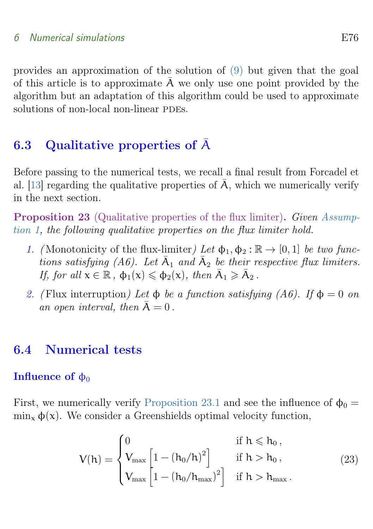<span id="page-26-6"></span>provides an approximation of the solution of [\(9\)](#page-10-1) but given that the goal of this article is to approximate  $\overline{A}$  we only use one point provided by the algorithm but an adaptation of this algorithm could be used to approximate solutions of non-local non-linear PDEs.

### <span id="page-26-0"></span>6.3 Qualitative properties of A¯

Before passing to the numerical tests, we recall a final result from Forcadel et al. [\[13\]](#page-45-0) regarding the qualitative properties of  $\overline{A}$ , which we numerically verify in the next section.

<span id="page-26-4"></span>**Proposition 23** (Qualitative properties of the flux limiter). Given [Assump](#page-4-1)[tion 1,](#page-4-1) the following qualitative properties on the flux limiter hold.

- <span id="page-26-2"></span>1. (Monotonicity of the flux-limiter) Let  $\phi_1, \phi_2 : \mathbb{R} \to [0, 1]$  be two functions satisfying (A6). Let  $\bar{A}_1$  and  $\bar{A}_2$  be their respective flux limiters. If, for all  $x \in \mathbb{R}$ ,  $\phi_1(x) \leq \phi_2(x)$ , then  $\bar{A}_1 \geq \bar{A}_2$ .
- <span id="page-26-3"></span>2. (Flux interruption) Let  $\phi$  be a function satisfying (A6). If  $\phi = 0$  on an open interval, then  $\overline{A} = 0$ .

#### <span id="page-26-1"></span>6.4 Numerical tests

#### **Influence of**  $φ_0$

First, we numerically verify [Proposition 23.1](#page-26-2) and see the influence of  $\phi_0 =$  $\min_{\mathbf{x}} \phi(\mathbf{x})$ . We consider a Greenshields optimal velocity function,

<span id="page-26-5"></span>
$$
V(h) = \begin{cases} 0 & \text{if } h \leqslant h_0 \,, \\ V_{\max} \begin{bmatrix} 1 - (h_0/h)^2 \end{bmatrix} & \text{if } h > h_0 \,, \\ V_{\max} \begin{bmatrix} 1 - (h_0/h_{\max})^2 \end{bmatrix} & \text{if } h > h_{\max} \,. \end{cases} \tag{23}
$$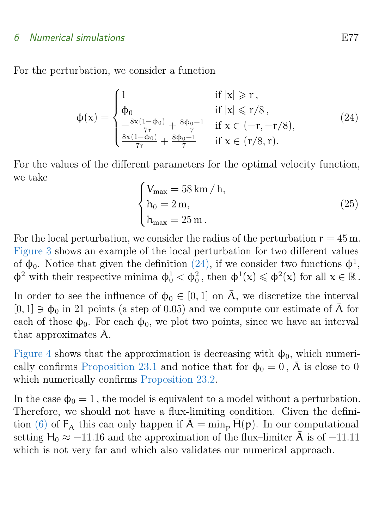For the perturbation, we consider a function

<span id="page-27-0"></span>
$$
\varphi(\mathbf{x}) = \begin{cases}\n1 & \text{if } |\mathbf{x}| \geq r, \\
\Phi_0 & \text{if } |\mathbf{x}| \leq r/8, \\
\frac{-8\mathbf{x}(1-\Phi_0)}{7r} + \frac{8\Phi_0 - 1}{7} & \text{if } \mathbf{x} \in (-r, -r/8), \\
\frac{8\mathbf{x}(1-\Phi_0)}{7r} + \frac{8\Phi_0 - 1}{7} & \text{if } \mathbf{x} \in (r/8, r).\n\end{cases}
$$
\n(24)

For the values of the different parameters for the optimal velocity function, we take

<span id="page-27-1"></span>
$$
\begin{cases}\nV_{\text{max}} = 58 \text{ km/h}, \\
h_0 = 2 \text{ m}, \\
h_{\text{max}} = 25 \text{ m}.\n\end{cases}
$$
\n(25)

For the local perturbation, we consider the radius of the perturbation  $r = 45$  m. [Figure 3](#page-28-0) shows an example of the local perturbation for two different values of  $\phi_0$ . Notice that given the definition [\(24\),](#page-27-0) if we consider two functions  $\phi^1$ ,  $\phi^2$  with their respective minima  $\phi_0^1 < \phi_0^2$ , then  $\phi^1(x) \leq \phi^2(x)$  for all  $x \in \mathbb{R}$ .

In order to see the influence of  $\phi_0 \in [0,1]$  on  $\overline{A}$ , we discretize the interval  $[0, 1] \ni \phi_0$  in 21 points (a step of 0.05) and we compute our estimate of  $\overline{A}$  for each of those  $\phi_0$ . For each  $\phi_0$ , we plot two points, since we have an interval that approximates  $\bar{A}$ .

[Figure 4](#page-29-0) shows that the approximation is decreasing with  $\phi_0$ , which numeri-cally confirms [Proposition 23.1](#page-26-2) and notice that for  $\phi_0 = 0$ ,  $\overline{A}$  is close to 0 which numerically confirms [Proposition 23.2.](#page-26-3)

In the case  $\phi_0 = 1$ , the model is equivalent to a model without a perturbation. Therefore, we should not have a flux-limiting condition. Given the defini-tion [\(6\)](#page-8-3) of  $F_{\bar{A}}$  this can only happen if  $\bar{A} = \min_{p} H(p)$ . In our computational setting  $H_0 \approx -11.16$  and the approximation of the flux–limiter  $\bar{A}$  is of -11.11 which is not very far and which also validates our numerical approach.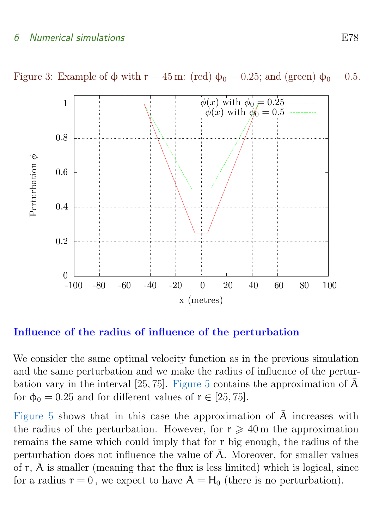

<span id="page-28-0"></span>Figure 3: Example of  $\phi$  with  $r = 45$  m: (red)  $\phi_0 = 0.25$ ; and (green)  $\phi_0 = 0.5$ .

#### Influence of the radius of influence of the perturbation

We consider the same optimal velocity function as in the previous simulation and the same perturbation and we make the radius of influence of the pertur-bation vary in the interval [25, 75]. [Figure 5](#page-30-0) contains the approximation of  $\bar{A}$ for  $\phi_0 = 0.25$  and for different values of  $r \in [25, 75]$ .

[Figure 5](#page-30-0) shows that in this case the approximation of  $\overline{A}$  increases with the radius of the perturbation. However, for  $r \geq 40$  m the approximation remains the same which could imply that for r big enough, the radius of the perturbation does not influence the value of  $\overline{A}$ . Moreover, for smaller values of  $r$ ,  $\bar{A}$  is smaller (meaning that the flux is less limited) which is logical, since for a radius  $r = 0$ , we expect to have  $\bar{A} = H_0$  (there is no perturbation).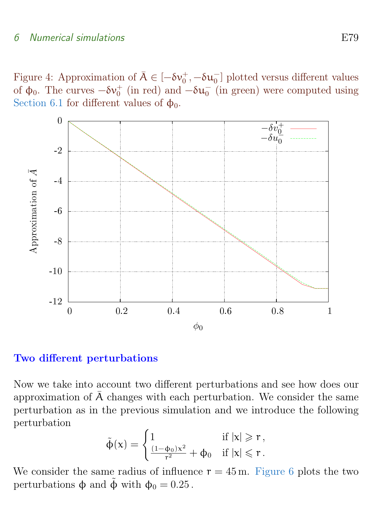<span id="page-29-0"></span>Figure 4: Approximation of  $\bar{A} \in [-\delta v_0^+, -\delta u_0^-]$  plotted versus different values of  $\phi_0$ . The curves  $-\delta \nu_0^+$  (in red) and  $-\delta u_0^-$  (in green) were computed using [Section 6.1](#page-23-1) for different values of  $\phi_0$ .



#### Two different perturbations

Now we take into account two different perturbations and see how does our approximation of  $\overline{A}$  changes with each perturbation. We consider the same perturbation as in the previous simulation and we introduce the following perturbation

$$
\tilde{\varphi}(x)=\begin{cases}1 & \text{ if } |x|\geqslant r\,,\\ \frac{(1-\varphi_0)x^2}{r^2}+\varphi_0 & \text{ if } |x|\leqslant r\,. \end{cases}
$$

We consider the same radius of influence  $r = 45$  m. [Figure 6](#page-31-0) plots the two perturbations  $\phi$  and  $\phi$  with  $\phi_0 = 0.25$ .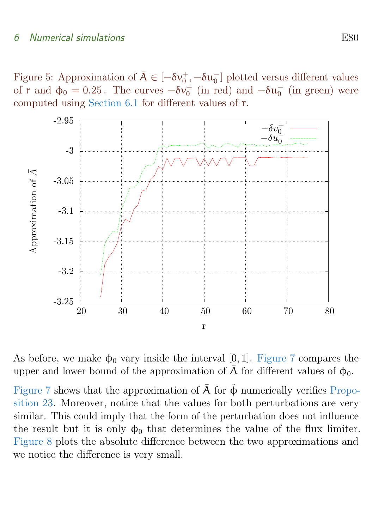<span id="page-30-0"></span>Figure 5: Approximation of  $\overline{A} \in [-\delta v_0^+, -\delta u_0^-]$  plotted versus different values of r and  $\phi_0 = 0.25$ . The curves  $-\delta \nu_0^+$  (in red) and  $-\delta u_0^-$  (in green) were computed using [Section 6.1](#page-23-1) for different values of r.



As before, we make  $\phi_0$  vary inside the interval [0, 1]. [Figure 7](#page-32-0) compares the upper and lower bound of the approximation of  $\overline{A}$  for different values of  $\phi_0$ .

[Figure 7](#page-32-0) shows that the approximation of  $\overline{A}$  for  $\tilde{\Phi}$  numerically verifies [Propo](#page-26-4)[sition 23.](#page-26-4) Moreover, notice that the values for both perturbations are very similar. This could imply that the form of the perturbation does not influence the result but it is only  $\phi_0$  that determines the value of the flux limiter. [Figure 8](#page-33-0) plots the absolute difference between the two approximations and we notice the difference is very small.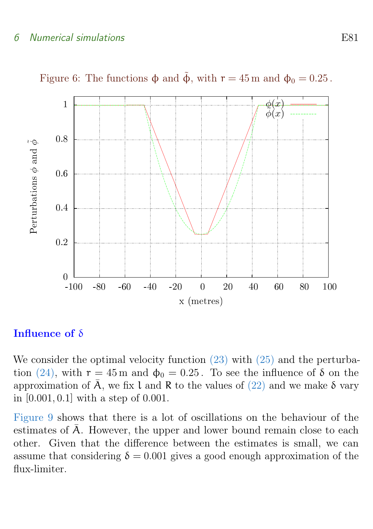

<span id="page-31-0"></span>Figure 6: The functions  $\phi$  and  $\tilde{\phi}$ , with  $r = 45$  m and  $\phi_0 = 0.25$ .

#### Influence of δ

We consider the optimal velocity function  $(23)$  with  $(25)$  and the perturba-tion [\(24\),](#page-27-0) with  $r = 45$  m and  $\phi_0 = 0.25$ . To see the influence of  $\delta$  on the approximation of  $\overline{A}$ , we fix l and R to the values of [\(22\)](#page-25-0) and we make  $\delta$  vary in [0.001, 0.1] with a step of 0.001.

[Figure 9](#page-34-0) shows that there is a lot of oscillations on the behaviour of the estimates of  $\overline{A}$ . However, the upper and lower bound remain close to each other. Given that the difference between the estimates is small, we can assume that considering  $\delta = 0.001$  gives a good enough approximation of the flux-limiter.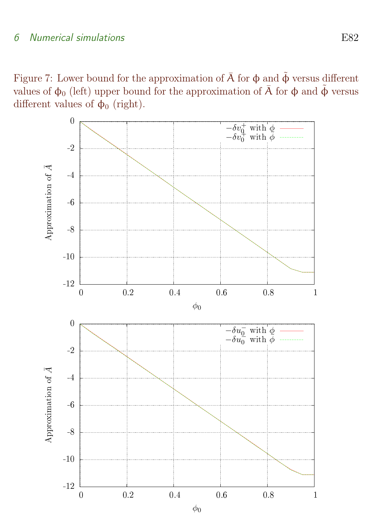<span id="page-32-0"></span>Figure 7: Lower bound for the approximation of  $\overline{A}$  for  $\phi$  and  $\tilde{\phi}$  versus different values of  $\phi_0$  (left) upper bound for the approximation of  $\bar{A}$  for  $\phi$  and  $\tilde{\phi}$  versus different values of  $\phi_0$  (right).

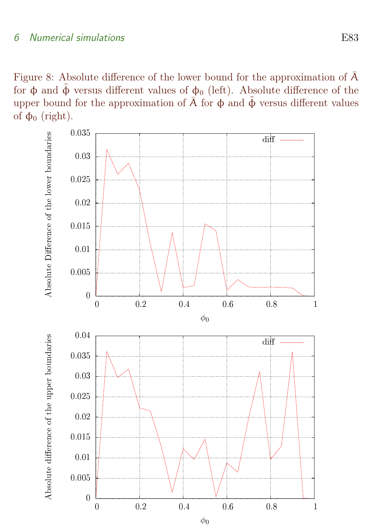<span id="page-33-0"></span>Figure 8: Absolute difference of the lower bound for the approximation of  $\bar{A}$ for φ and  $\tilde{\phi}$  versus different values of φ<sub>0</sub> (left). Absolute difference of the upper bound for the approximation of  $\overline{A}$  for  $\phi$  and  $\tilde{\phi}$  versus different values of  $φ_0$  (right).

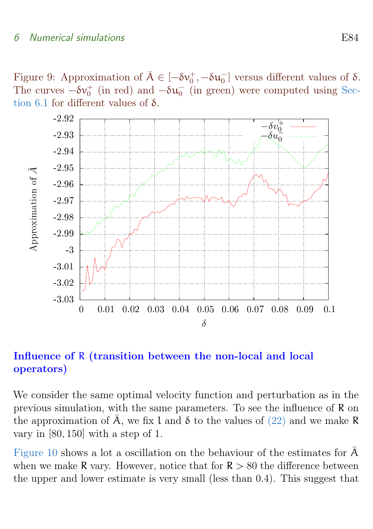<span id="page-34-0"></span>Figure 9: Approximation of  $\bar{A} \in [-\delta v_0^+, -\delta u_0^-]$  versus different values of  $\delta$ . The curves  $-\delta\nu_0^+$  (in red) and  $-\delta u_0^-$  (in green) were computed using [Sec](#page-23-1)[tion 6.1](#page-23-1) for different values of δ.



Influence of R (transition between the non-local and local operators)

We consider the same optimal velocity function and perturbation as in the previous simulation, with the same parameters. To see the influence of R on the approximation of  $\overline{A}$ , we fix l and  $\delta$  to the values of [\(22\)](#page-25-0) and we make R vary in [80, 150] with a step of 1.

[Figure 10](#page-35-0) shows a lot a oscillation on the behaviour of the estimates for  $\overline{A}$ when we make R vary. However, notice that for  $R > 80$  the difference between the upper and lower estimate is very small (less than 0.4). This suggest that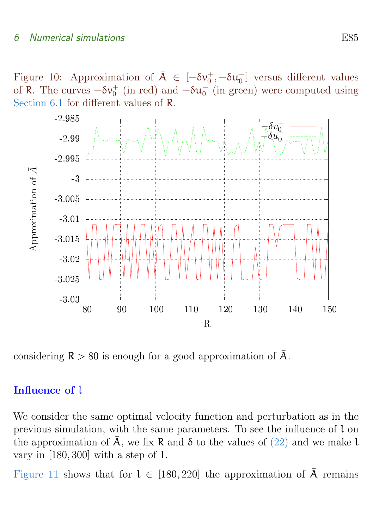<span id="page-35-0"></span>Figure 10: Approximation of  $\overline{A} \in [-\delta v_0^+, -\delta u_0^-]$  versus different values of R. The curves  $-\delta v_0^+$  (in red) and  $-\delta u_0^-$  (in green) were computed using [Section 6.1](#page-23-1) for different values of R.



considering  $R > 80$  is enough for a good approximation of  $\overline{A}$ .

#### Influence of l

We consider the same optimal velocity function and perturbation as in the previous simulation, with the same parameters. To see the influence of l on the approximation of  $\overline{A}$ , we fix R and  $\delta$  to the values of [\(22\)](#page-25-0) and we make l vary in [180, 300] with a step of 1.

[Figure 11](#page-36-1) shows that for  $l \in [180, 220]$  the approximation of  $\overline{A}$  remains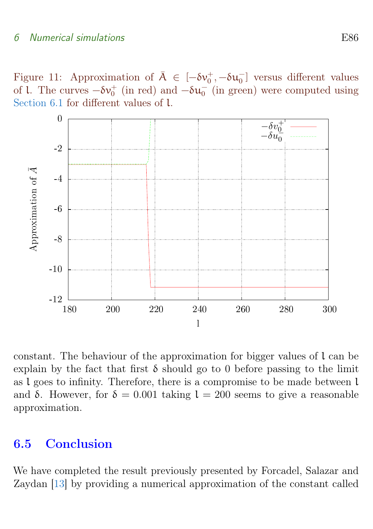<span id="page-36-2"></span><span id="page-36-1"></span>Figure 11: Approximation of  $\overline{A} \in [-\delta v_0^+, -\delta u_0^-]$  versus different values of l. The curves  $-\delta v_0^+$  (in red) and  $-\delta u_0^-$  (in green) were computed using [Section 6.1](#page-23-1) for different values of l.



constant. The behaviour of the approximation for bigger values of l can be explain by the fact that first  $\delta$  should go to 0 before passing to the limit as l goes to infinity. Therefore, there is a compromise to be made between l and δ. However, for  $\delta = 0.001$  taking  $l = 200$  seems to give a reasonable approximation.

#### <span id="page-36-0"></span>6.5 Conclusion

We have completed the result previously presented by Forcadel, Salazar and Zaydan [\[13\]](#page-45-0) by providing a numerical approximation of the constant called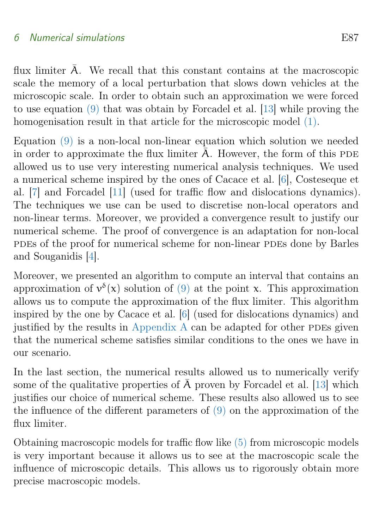<span id="page-37-0"></span>flux limiter  $\overline{A}$ . We recall that this constant contains at the macroscopic scale the memory of a local perturbation that slows down vehicles at the microscopic scale. In order to obtain such an approximation we were forced to use equation [\(9\)](#page-10-1) that was obtain by Forcadel et al. [\[13\]](#page-45-0) while proving the homogenisation result in that article for the microscopic model  $(1)$ .

Equation [\(9\)](#page-10-1) is a non-local non-linear equation which solution we needed in order to approximate the flux limiter  $\overline{A}$ . However, the form of this PDE allowed us to use very interesting numerical analysis techniques. We used a numerical scheme inspired by the ones of Cacace et al. [\[6\]](#page-45-1), Costeseque et al. [\[7\]](#page-45-2) and Forcadel [\[11\]](#page-45-3) (used for traffic flow and dislocations dynamics). The techniques we use can be used to discretise non-local operators and non-linear terms. Moreover, we provided a convergence result to justify our numerical scheme. The proof of convergence is an adaptation for non-local pdes of the proof for numerical scheme for non-linear pdes done by Barles and Souganidis [\[4\]](#page-44-4).

Moreover, we presented an algorithm to compute an interval that contains an approximation of  $v^{\delta}(x)$  solution of [\(9\)](#page-10-1) at the point x. This approximation allows us to compute the approximation of the flux limiter. This algorithm inspired by the one by Cacace et al. [\[6\]](#page-45-1) (used for dislocations dynamics) and justified by the results in [Appendix A](#page-38-0) can be adapted for other PDEs given that the numerical scheme satisfies similar conditions to the ones we have in our scenario.

In the last section, the numerical results allowed us to numerically verify some of the qualitative properties of  $\overline{A}$  proven by Forcadel et al. [\[13\]](#page-45-0) which justifies our choice of numerical scheme. These results also allowed us to see the influence of the different parameters of [\(9\)](#page-10-1) on the approximation of the flux limiter.

Obtaining macroscopic models for traffic flow like [\(5\)](#page-8-1) from microscopic models is very important because it allows us to see at the macroscopic scale the influence of microscopic details. This allows us to rigorously obtain more precise macroscopic models.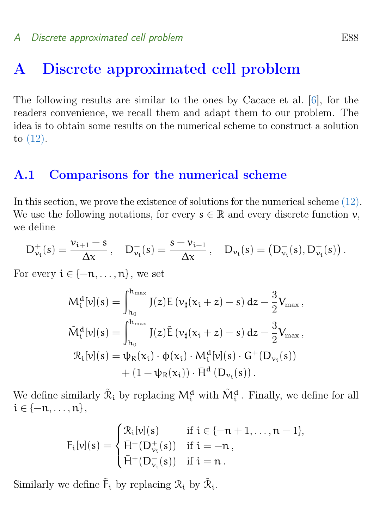## <span id="page-38-3"></span><span id="page-38-0"></span>A Discrete approximated cell problem

The following results are similar to the ones by Cacace et al. [\[6\]](#page-45-1), for the readers convenience, we recall them and adapt them to our problem. The idea is to obtain some results on the numerical scheme to construct a solution to [\(12\).](#page-12-0)

#### <span id="page-38-1"></span>A.1 Comparisons for the numerical scheme

In this section, we prove the existence of solutions for the numerical scheme [\(12\).](#page-12-0) We use the following notations, for every  $s \in \mathbb{R}$  and every discrete function  $v$ , we define

<span id="page-38-2"></span>
$$
D_{\nu_i}^+(s) = \frac{\nu_{i+1} - s}{\Delta x}\,, \quad D_{\nu_i}^-(s) = \frac{s - \nu_{i-1}}{\Delta x}\,, \quad D_{\nu_i}(s) = \left( D_{\nu_i}^-(s), D_{\nu_i}^+(s) \right).
$$

For every  $i \in \{-n, \ldots, n\}$ , we set

$$
M_{i}^{d}[v](s) = \int_{h_{0}}^{h_{\max}} J(z)E(v_{\sharp}(x_{i}+z)-s) dz - \frac{3}{2}V_{\max},
$$
  

$$
\tilde{M}_{i}^{d}[v](s) = \int_{h_{0}}^{h_{\max}} J(z)\tilde{E}(v_{\sharp}(x_{i}+z)-s) dz - \frac{3}{2}V_{\max},
$$
  

$$
\mathcal{R}_{i}[v](s) = \psi_{R}(x_{i}) \cdot \phi(x_{i}) \cdot M_{i}^{d}[v](s) \cdot G^{+}(D_{v_{i}}(s)) + (1 - \psi_{R}(x_{i})) \cdot \bar{H}^{d}(D_{v_{i}}(s)).
$$

We define similarly  $\tilde{\mathcal{R}}_i$  by replacing  $M_i^d$  with  $\tilde{M}_i^d$ . Finally, we define for all  $i \in \{-n, \ldots, n\},\$ 

$$
F_i[\nu](s) = \begin{cases} \mathcal{R}_i[\nu](s) & \text{ if } i \in \{-n+1, \ldots, n-1\}, \\ \bar{H}^-(D_{\nu_i}^+(s)) & \text{ if } i = -n\,, \\ \bar{H}^+(D_{\nu_i}^-(s)) & \text{ if } i = n\,. \end{cases}
$$

Similarly we define  $\tilde{F}_i$  by replacing  $\mathcal{R}_i$  by  $\tilde{\mathcal{R}}_i$ .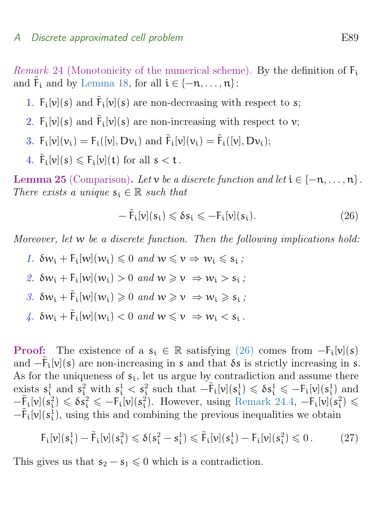*Remark* 24 (Monotonicity of the numerical scheme). By the definition of  $F_i$ and  $\tilde{F}_i$  and by [Lemma 18,](#page-19-3) for all  $i \in \{-n, \ldots, n\}$ :

- <span id="page-39-4"></span>1.  $F_i[v](s)$  and  $\tilde{F}_i[v](s)$  are non-decreasing with respect to s;
- <span id="page-39-2"></span>2.  $F_i[v](s)$  and  $\tilde{F}_i[v](s)$  are non-increasing with respect to v;
- 3.  $F_i[v](v_i) = F_i([v], Dv_i)$  and  $\tilde{F}_i[v](v_i) = \tilde{F}_i([v], Dv_i);$
- <span id="page-39-0"></span>4.  $\tilde{F}_i[v](s) \leq F_i[v](t)$  for all  $s < t$ .

<span id="page-39-7"></span>**Lemma 25** (Comparison). Let v be a discrete function and let  $i \in \{-n, \ldots, n\}$ . There exists a unique  $s_i \in \mathbb{R}$  such that

$$
-\tilde{F}_i[\nu](s_i) \leq \delta s_i \leq -F_i[\nu](s_i). \tag{26}
$$

<span id="page-39-1"></span>Moreover, let w be a discrete function. Then the following implications hold:

- 1.  $\delta w_i + F_i[w](w_i) \leq 0$  and  $w \leq v \Rightarrow w_i \leq s_i$ ;
- <span id="page-39-3"></span>2.  $\delta w_i + F_i[w](w_i) > 0$  and  $w \geq v \Rightarrow w_i > s_i$ ;
- <span id="page-39-5"></span>3.  $\delta w_i + \tilde{F}_i[w](w_i) \geq 0$  and  $w \geq v \Rightarrow w_i \geq s_i$ ;
- <span id="page-39-6"></span>4.  $\delta w_i + \tilde{F}_i[w](w_i) < 0$  and  $w \leq v \Rightarrow w_i < s_i$ .

**Proof:** The existence of a  $s_i \in \mathbb{R}$  satisfying [\(26\)](#page-38-2) comes from  $-F_i[v](s)$ and  $-\tilde{F}_i[v](s)$  are non-increasing in s and that  $\delta s$  is strictly increasing in s. As for the uniqueness of  $s_i$ , let us argue by contradiction and assume there exists  $s_i^1$  and  $s_i^2$  with  $s_i^1 < s_i^2$  such that  $-\tilde{F}_i[\nu](s_i^1) \leq \delta s_i^1 \leq -F_i[\nu](s_i^1)$  and  $-\tilde{F}_i[\nu](s_i^2) \leqslant \delta s_i^2 \leqslant -F_i[\nu](s_i^2)$ . However, using [Remark 24.4,](#page-39-0)  $-F_i[\nu](s_i^2) \leqslant$  $-\tilde{F}_i[v](s_i^{\bar{i}})$ , using this and combining the previous inequalities we obtain

$$
F_{i}[\nu](s_{i}^{1}) - \tilde{F}_{i}[\nu](s_{i}^{2}) \leq \delta(s_{i}^{2} - s_{i}^{1}) \leq \tilde{F}_{i}[\nu](s_{i}^{1}) - F_{i}[\nu](s_{i}^{2}) \leq 0.
$$
 (27)

This gives us that  $s_2 - s_1 \leq 0$  which is a contradiction.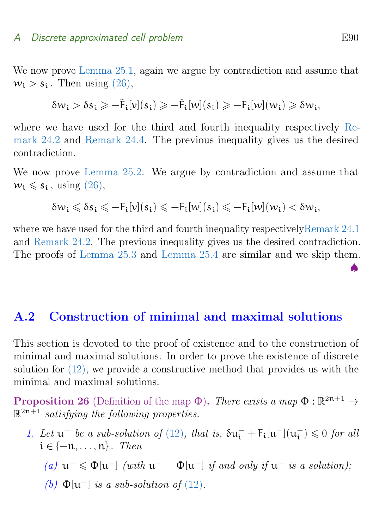We now prove [Lemma 25.1,](#page-39-1) again we argue by contradiction and assume that  $w_i > s_i$ . Then using  $(26)$ ,

<span id="page-40-3"></span>
$$
\delta w_i > \delta s_i \geqslant -\tilde{F}_i[\nu](s_i) \geqslant -\tilde{F}_i[\nu](s_i) \geqslant -F_i[\nu](w_i) \geqslant \delta w_i,
$$

where we have used for the third and fourth inequality respectively [Re](#page-39-2)[mark 24.2](#page-39-2) and [Remark 24.4.](#page-39-0) The previous inequality gives us the desired contradiction.

We now prove [Lemma 25.2.](#page-39-3) We argue by contradiction and assume that  $w_i \leqslant s_i$ , using  $(26)$ ,

$$
\delta w_i \leqslant \delta s_i \leqslant - F_i[\nu](s_i) \leqslant - F_i[\nu](s_i) \leqslant - F_i[\nu](w_i) < \delta w_i,
$$

where we have used for the third and fourth inequality respectivel[yRemark 24.1](#page-39-4) and [Remark 24.2.](#page-39-2) The previous inequality gives us the desired contradiction. The proofs of [Lemma 25.3](#page-39-5) and [Lemma 25.4](#page-39-6) are similar and we skip them.

#### <span id="page-40-0"></span>A.2 Construction of minimal and maximal solutions

This section is devoted to the proof of existence and to the construction of minimal and maximal solutions. In order to prove the existence of discrete solution for [\(12\),](#page-12-0) we provide a constructive method that provides us with the minimal and maximal solutions.

<span id="page-40-2"></span>**Proposition 26** (Definition of the map  $\Phi$ ). There exists a map  $\Phi : \mathbb{R}^{2n+1} \to$  $\mathbb{R}^{2n+1}$  satisfying the following properties.

- <span id="page-40-1"></span>1. Let  $\mathfrak{u}^-$  be a sub-solution of [\(12\)](#page-12-0), that is,  $\delta \mathfrak{u}^-_i + F_i[\mathfrak{u}^-](\mathfrak{u}^-_i)$  $\binom{-}{i} \leqslant 0$  for all  $i \in \{-n, \ldots, n\}$ . Then
	- (a)  $u^- \le \Phi[u^-]$  (with  $u^- = \Phi[u^-]$  if and only if  $u^-$  is a solution);
	- (b)  $\Phi[\mathfrak{u}^-]$  is a sub-solution of [\(12\)](#page-12-0).

♠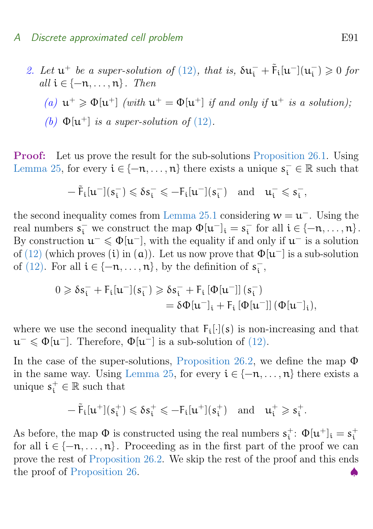<span id="page-41-0"></span>2. Let  $\mathfrak{u}^+$  be a super-solution of [\(12\)](#page-12-0), that is,  $\delta \mathfrak{u}^-_i + \tilde{F}_i[\mathfrak{u}^-](\mathfrak{u}^-_i)$  $\binom{-}{i} \geqslant 0$  for all  $i \in \{-n, \ldots, n\}$ . Then (a)  $u^+ \geq \Phi[u^+]$  (with  $u^+ = \Phi[u^+]$  if and only if  $u^+$  is a solution);

(b) 
$$
\Phi[\mathbf{u}^+]
$$
 is a super-solution of (12).

Proof: Let us prove the result for the sub-solutions [Proposition 26.1.](#page-40-1) Using [Lemma 25,](#page-39-7) for every  $i \in \{-n, \ldots, n\}$  there exists a unique  $s_i^- \in \mathbb{R}$  such that

$$
-\tilde{F}_t[u^-](s_i^-) \leqslant \delta s_i^- \leqslant -F_t[u^-](s_i^-) \quad \mathrm{and} \quad u_i^- \leqslant s_i^-,
$$

the second inequality comes from [Lemma 25.1](#page-39-1) considering  $w = u^{-}$ . Using the real numbers  $s_i^-$  we construct the map  $\Phi[\mathfrak{u}^-]_i = s_i^ \overline{i}$  for all  $i \in \{-n, \ldots, n\}$ . By construction  $u^{-} \leq \Phi[u^{-}]$ , with the equality if and only if  $u^{-}$  is a solution of [\(12\)](#page-12-0) (which proves (i) in (a)). Let us now prove that  $\Phi[\mathfrak{u}^-]$  is a sub-solution of [\(12\).](#page-12-0) For all  $i \in \{-n, \ldots, n\}$ , by the definition of  $s_i^ \frac{1}{i}$ ,

$$
\begin{aligned} 0 \geqslant \delta s_i^- + F_i[u^-](s_i^-) \geqslant \delta s_i^- + F_i\left[\Phi[u^-]\right](s_i^-) \\ = \delta \Phi[u^-]_i + F_i\left[\Phi[u^-]\right](\Phi[u^-]_i), \end{aligned}
$$

where we use the second inequality that  $F_i[\cdot](s)$  is non-increasing and that  $u^{-} \leq \Phi[u^{-}]$ . Therefore,  $\Phi[u^{-}]$  is a sub-solution of [\(12\).](#page-12-0)

In the case of the super-solutions, [Proposition 26.2,](#page-41-0) we define the map  $\Phi$ in the same way. Using [Lemma 25,](#page-39-7) for every  $i \in \{-n, \ldots, n\}$  there exists a unique  $s_i^+ \in \mathbb{R}$  such that

$$
-\tilde{F}_t[u^+](s_i^+) \leqslant \delta s_i^+ \leqslant -F_t[u^+](s_i^+) \quad \mathrm{and} \quad u_i^+ \geqslant s_i^+.
$$

<span id="page-41-1"></span>As before, the map  $\Phi$  is constructed using the real numbers  $s_i^+$  $_{i}^{+}$ :  $\Phi[\mathfrak{u}^{+}]_{i} = s_{i}^{+}$ i for all  $i \in \{-n, \ldots, n\}$ . Proceeding as in the first part of the proof we can prove the rest of [Proposition 26.2.](#page-41-0) We skip the rest of the proof and this ends the proof of [Proposition 26.](#page-40-2)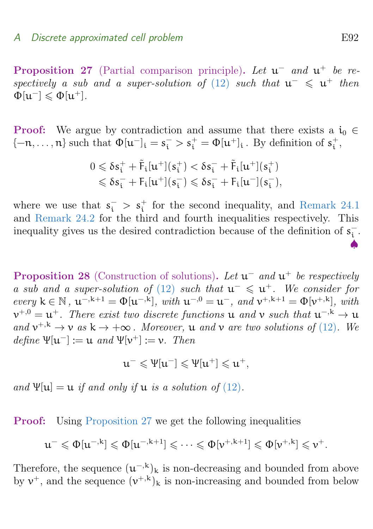**Proposition 27** (Partial comparison principle). Let  $u^-$  and  $u^+$  be re-spectively a sub and a super-solution of [\(12\)](#page-12-0) such that  $u^{-} \leq u^{+}$  then  $\Phi[\mathfrak{u}^-] \leqslant \Phi[\mathfrak{u}^+]$ .

**Proof:** We argue by contradiction and assume that there exists a  $i_0 \in$  $\{-n,\ldots,n\}$  such that  $\Phi[u^-]_i = s_i^- > s_i^+ = \Phi[u^+]_i$ . By definition of  $s_i^+$  $\frac{+}{\mathrm{i}}$  ,

$$
0 \leqslant \delta s_i^+ + \tilde{F}_i[u^+](s_i^+) < \delta s_i^- + \tilde{F}_i[u^+](s_i^+) \\ \leqslant \delta s_i^- + F_i[u^+](s_i^-) \leqslant \delta s_i^- + F_i[u^-](s_i^-),
$$

where we use that  $s_i^{-} > s_i^{+}$  for the second inequality, and [Remark 24.1](#page-39-4) and [Remark 24.2](#page-39-2) for the third and fourth inequalities respectively. This inequality gives us the desired contradiction because of the definition of  $s_{i}^{-}$ i .

<span id="page-42-0"></span>**Proposition 28** (Construction of solutions). Let  $\mathbf{u}^-$  and  $\mathbf{u}^+$  be respectively a sub and a super-solution of [\(12\)](#page-12-0) such that  $u^- \leq u^+$ . We consider for every  $k \in \mathbb{N}$ ,  $u^{-,k+1} = \Phi[u^{-,k}]$ , with  $u^{-,0} = u^{-}$ , and  $v^{+,k+1} = \Phi[v^{+,k}]$ , with  $v^{+,0} = u^+$ . There exist two discrete functions u and v such that  $u^{-,k} \to u$ and  $v^{+,k} \to v$  as  $k \to +\infty$ . Moreover, **u** and **v** are two solutions of [\(12\)](#page-12-0). We  $define \Psi[\mathfrak{u}^-] := \mathfrak{u} \text{ and } \Psi[\mathfrak{v}^+] := \mathfrak{v}. \text{ Then}$ 

$$
u^-\leqslant \Psi[u^-]\leqslant \Psi[u^+]\leqslant u^+,
$$

and  $\Psi[u] = u$  if and only if  $u$  is a solution of [\(12\)](#page-12-0).

Proof: Using [Proposition 27](#page-41-1) we get the following inequalities

$$
\mathfrak{u}^- \leqslant \Phi[\mathfrak{u}^{-,k}] \leqslant \Phi[\mathfrak{u}^{-,k+1}] \leqslant \cdots \leqslant \Phi[\mathfrak{v}^{+,k+1}] \leqslant \Phi[\mathfrak{v}^{+,k}] \leqslant \mathfrak{v}^+.
$$

Therefore, the sequence  $(u^{-k})_k$  is non-decreasing and bounded from above by  $v^+$ , and the sequence  $(v^{+,k})_k$  is non-increasing and bounded from below

♠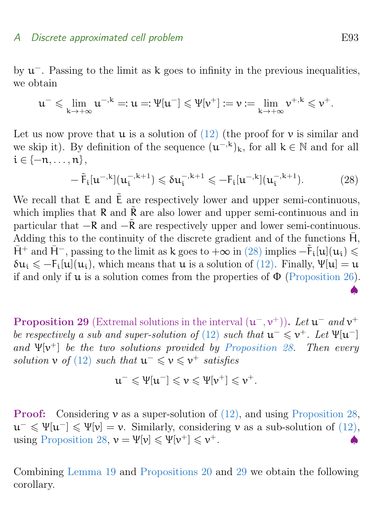by  $u^-$ . Passing to the limit as k goes to infinity in the previous inequalities, we obtain

$$
\mathfrak{u}^- \leqslant \lim_{k \to +\infty} \mathfrak{u}^{-,k} =: \mathfrak{u} =: \Psi[\mathfrak{u}^-] \leqslant \Psi[\mathfrak{v}^+] := \mathfrak{v} := \lim_{k \to +\infty} \mathfrak{v}^{+,k} \leqslant \mathfrak{v}^+.
$$

Let us now prove that  $\mu$  is a solution of [\(12\)](#page-12-0) (the proof for  $\nu$  is similar and we skip it). By definition of the sequence  $(u^{-k})_k$ , for all  $k \in \mathbb{N}$  and for all  $i \in \{-n, \ldots, n\},$ 

$$
-\tilde{F}_{i}[u^{-,k}](u_{i}^{-,k+1}) \leq \delta u_{i}^{-,k+1} \leq -F_{i}[u^{-,k}](u_{i}^{-,k+1}).
$$
\n(28)

We recall that  $E$  and  $\tilde{E}$  are respectively lower and upper semi-continuous, which implies that  $\overline{R}$  and  $\overline{R}$  are also lower and upper semi-continuous and in particular that  $-R$  and  $-\tilde{R}$  are respectively upper and lower semi-continuous. Adding this to the continuity of the discrete gradient and of the functions  $\overline{H}$ ,  $\bar{H}^+$  and  $\bar{H}^-$ , passing to the limit as k goes to  $+\infty$  in [\(28\)](#page-40-3) implies  $-\tilde{F}_i[u](u_i) \leq$  $\delta u_i \leq -F_i[u](u_i)$ , which means that  $u$  is a solution of [\(12\).](#page-12-0) Finally,  $\Psi[u] = u$ if and only if  $\mu$  is a solution comes from the properties of  $\Phi$  [\(Proposition 26\)](#page-40-2).

<span id="page-43-1"></span>**Proposition 29** (Extremal solutions in the interval  $(u^-, v^+)$ ). Let  $u^-$  and  $v^+$ be respectively a sub and super-solution of [\(12\)](#page-12-0) such that  $u^- \leq v^+$ . Let  $\Psi[u^-]$ and  $\Psi[\mathbf{v}^+]$  be the two solutions provided by [Proposition 28.](#page-42-0) Then every solution  $\nu$  of [\(12\)](#page-12-0) such that  $u^- \leq \nu \leq v^+$  satisfies

$$
u^-\leqslant \Psi[u^-]\leqslant \nu\leqslant \Psi[\nu^+]\leqslant \nu^+.
$$

**Proof:** Considering  $\nu$  as a super-solution of  $(12)$ , and using [Proposition 28,](#page-42-0)  $u^{-} \leqslant \Psi[u^{-}] \leqslant \Psi[v] = v$ . Similarly, considering v as a sub-solution of [\(12\),](#page-12-0) using [Proposition 28,](#page-42-0)  $v = \Psi[v] \leq \Psi[v^+] \leq v$  $+$ .  $\bullet$ 

<span id="page-43-0"></span>Combining [Lemma 19](#page-20-2) and [Propositions 20](#page-21-1) and [29](#page-43-1) we obtain the following corollary.

♠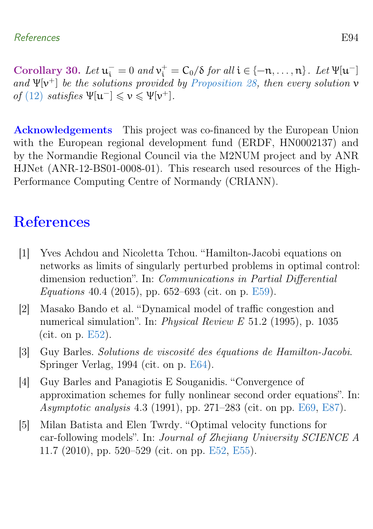Corollary 30. Let  $u_i^- = 0$  and  $v_i^+ = C_0/\delta$  for all  $i \in \{-n, \ldots, n\}$ . Let  $\Psi[u^-]$ and  $\Psi[\mathbf{v}^+]$  be the solutions provided by [Proposition 28,](#page-42-0) then every solution  $\mathbf{v}$ of [\(12\)](#page-12-0) satisfies  $\Psi[\mathbf{u}^-] \leqslant \mathbf{v} \leqslant \Psi[\mathbf{v}^+]$ .

Acknowledgements This project was co-financed by the European Union with the European regional development fund (ERDF, HN0002137) and by the Normandie Regional Council via the M2NUM project and by ANR HJNet (ANR-12-BS01-0008-01). This research used resources of the High-Performance Computing Centre of Normandy (CRIANN).

## **References**

- <span id="page-44-2"></span>[1] Yves Achdou and Nicoletta Tchou. "Hamilton-Jacobi equations on networks as limits of singularly perturbed problems in optimal control: dimension reduction". In: Communications in Partial Differential Equations 40.4 (2015), pp. 652–693 (cit. on p. [E59\)](#page-9-1).
- <span id="page-44-0"></span>[2] Masako Bando et al. "Dynamical model of traffic congestion and numerical simulation". In: Physical Review E 51.2 (1995), p. 1035 (cit. on p. [E52\)](#page-2-1).
- <span id="page-44-3"></span>[3] Guy Barles. Solutions de viscosité des équations de Hamilton-Jacobi. Springer Verlag, 1994 (cit. on p. [E64\)](#page-14-4).
- <span id="page-44-4"></span>[4] Guy Barles and Panagiotis E Souganidis. "Convergence of approximation schemes for fully nonlinear second order equations". In: Asymptotic analysis 4.3 (1991), pp. 271–283 (cit. on pp. [E69,](#page-19-4) [E87\)](#page-37-0).
- <span id="page-44-1"></span>[5] Milan Batista and Elen Twrdy. "Optimal velocity functions for car-following models". In: Journal of Zhejiang University SCIENCE A 11.7 (2010), pp. 520–529 (cit. on pp. [E52,](#page-2-1) [E55\)](#page-5-3).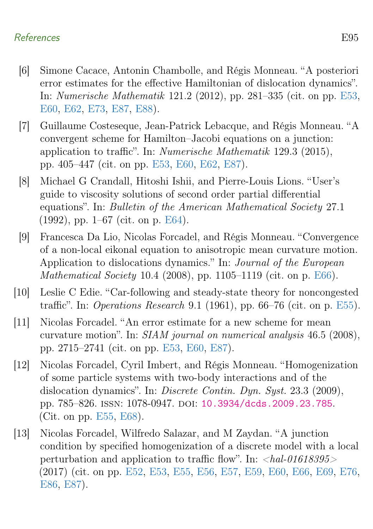#### References E95

- <span id="page-45-1"></span>[6] Simone Cacace, Antonin Chambolle, and Régis Monneau. "A posteriori error estimates for the effective Hamiltonian of dislocation dynamics". In: Numerische Mathematik 121.2 (2012), pp. 281–335 (cit. on pp. [E53,](#page-3-1) [E60,](#page-10-3) [E62,](#page-12-2) [E73,](#page-23-2) [E87,](#page-37-0) [E88\)](#page-38-3).
- <span id="page-45-2"></span>[7] Guillaume Costeseque, Jean-Patrick Lebacque, and Régis Monneau. "A convergent scheme for Hamilton–Jacobi equations on a junction: application to traffic". In: Numerische Mathematik 129.3 (2015), pp. 405–447 (cit. on pp. [E53,](#page-3-1) [E60,](#page-10-3) [E62,](#page-12-2) [E87\)](#page-37-0).
- <span id="page-45-6"></span>[8] Michael G Crandall, Hitoshi Ishii, and Pierre-Louis Lions. "User's guide to viscosity solutions of second order partial differential equations". In: Bulletin of the American Mathematical Society 27.1 (1992), pp. 1–67 (cit. on p. [E64\)](#page-14-4).
- <span id="page-45-7"></span>[9] Francesca Da Lio, Nicolas Forcadel, and Régis Monneau. "Convergence of a non-local eikonal equation to anisotropic mean curvature motion. Application to dislocations dynamics." In: Journal of the European Mathematical Society 10.4 (2008), pp. 1105–1119 (cit. on p. [E66\)](#page-16-2).
- <span id="page-45-4"></span>[10] Leslie C Edie. "Car-following and steady-state theory for noncongested traffic". In: Operations Research 9.1 (1961), pp. 66–76 (cit. on p. [E55\)](#page-5-3).
- <span id="page-45-3"></span>[11] Nicolas Forcadel. "An error estimate for a new scheme for mean curvature motion". In: SIAM journal on numerical analysis 46.5 (2008), pp. 2715–2741 (cit. on pp. [E53,](#page-3-1) [E60,](#page-10-3) [E87\)](#page-37-0).
- <span id="page-45-5"></span>[12] Nicolas Forcadel, Cyril Imbert, and Régis Monneau. "Homogenization of some particle systems with two-body interactions and of the dislocation dynamics". In: Discrete Contin. Dyn. Syst. 23.3 (2009), pp. 785–826. ISSN: 1078-0947. DOI: [10.3934/dcds.2009.23.785](https://doi.org/10.3934/dcds.2009.23.785). (Cit. on pp. [E55,](#page-5-3) [E68\)](#page-18-0).
- <span id="page-45-0"></span>[13] Nicolas Forcadel, Wilfredo Salazar, and M Zaydan. "A junction condition by specified homogenization of a discrete model with a local perturbation and application to traffic flow". In:  $\langle hal-01618395\rangle$ (2017) (cit. on pp. [E52,](#page-2-1) [E53,](#page-3-1) [E55,](#page-5-3) [E56,](#page-6-3) [E57,](#page-7-2) [E59,](#page-9-1) [E60,](#page-10-3) [E66,](#page-16-2) [E69,](#page-19-4) [E76,](#page-26-6) [E86,](#page-36-2) [E87\)](#page-37-0).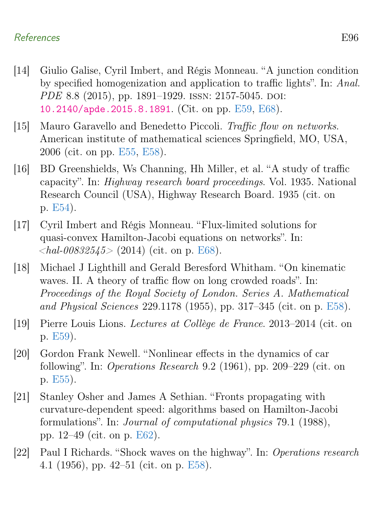#### References E96

- <span id="page-46-5"></span>[14] Giulio Galise, Cyril Imbert, and Régis Monneau. "A junction condition by specified homogenization and application to traffic lights". In: Anal. PDE 8.8 (2015), pp. 1891–1929. ISSN: 2157-5045. DOI: [10.2140/apde.2015.8.1891](https://doi.org/10.2140/apde.2015.8.1891). (Cit. on pp. [E59,](#page-9-1) [E68\)](#page-18-0).
- <span id="page-46-2"></span>[15] Mauro Garavello and Benedetto Piccoli. Traffic flow on networks. American institute of mathematical sciences Springfield, MO, USA, 2006 (cit. on pp. [E55,](#page-5-3) [E58\)](#page-8-4).
- <span id="page-46-0"></span>[16] BD Greenshields, Ws Channing, Hh Miller, et al. "A study of traffic capacity". In: Highway research board proceedings. Vol. 1935. National Research Council (USA), Highway Research Board. 1935 (cit. on p. [E54\)](#page-4-5).
- <span id="page-46-8"></span>[17] Cyril Imbert and Régis Monneau. "Flux-limited solutions for quasi-convex Hamilton-Jacobi equations on networks". In:  $\langle$ hal-00832545> (2014) (cit. on p. [E68\)](#page-18-0).
- <span id="page-46-3"></span>[18] Michael J Lighthill and Gerald Beresford Whitham. "On kinematic waves. II. A theory of traffic flow on long crowded roads". In: Proceedings of the Royal Society of London. Series A. Mathematical and Physical Sciences 229.1178 (1955), pp. 317–345 (cit. on p. [E58\)](#page-8-4).
- <span id="page-46-6"></span>[19] Pierre Louis Lions. Lectures at Collège de France. 2013–2014 (cit. on p. [E59\)](#page-9-1).
- <span id="page-46-1"></span>[20] Gordon Frank Newell. "Nonlinear effects in the dynamics of car following". In: Operations Research 9.2 (1961), pp. 209–229 (cit. on p. [E55\)](#page-5-3).
- <span id="page-46-7"></span>[21] Stanley Osher and James A Sethian. "Fronts propagating with curvature-dependent speed: algorithms based on Hamilton-Jacobi formulations". In: Journal of computational physics 79.1 (1988), pp. 12–49 (cit. on p. [E62\)](#page-12-2).
- <span id="page-46-4"></span>[22] Paul I Richards. "Shock waves on the highway". In: Operations research 4.1 (1956), pp. 42–51 (cit. on p. [E58\)](#page-8-4).